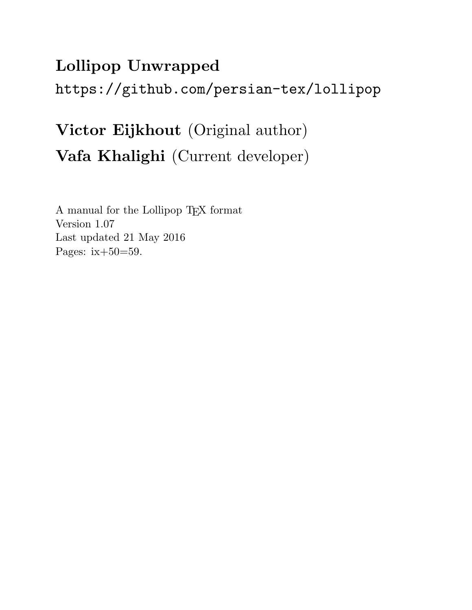# Lollipop Unwrapped https://github.com/persian-tex/lollipop

# Victor Eijkhout (Original author) Vafa Khalighi (Current developer)

A manual for the Lollipop TEX format Version 1.07 Last updated 21 May 2016 Pages: ix+50=59.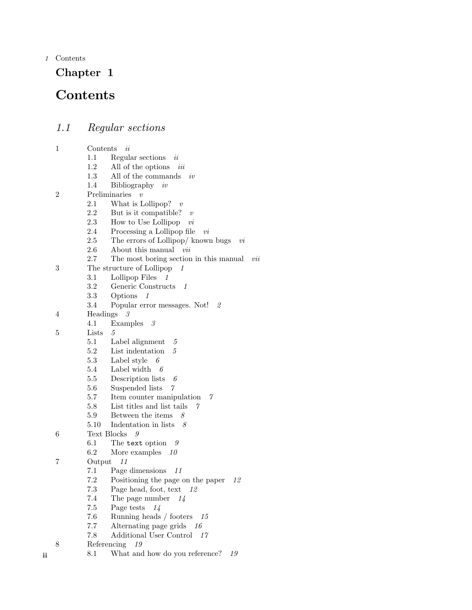1 Contents

## Chapter 1

## **Contents**

*1.1 Regular sections* 1 Contents *ii* 1.1 Regular sections *ii* 1.2 All of the options *iii* 1.3 All of the commands *iv* 1.4 Bibliography *iv* 2 Preliminaries *v* 2.1 What is Lollipop? *v* 2.2 But is it compatible? *v* 2.3 How to Use Lollipop *vi* 2.4 Processing a Lollipop file *vi* 2.5 The errors of Lollipop/ known bugs *vi* 2.6 About this manual *vii* 2.7 The most boring section in this manual *vii* 3 The structure of Lollipop *1* 3.1 Lollipop Files *1* 3.2 Generic Constructs *1* 3.3 Options *1* 3.4 Popular error messages. Not! *2* 4 Headings *3* 4.1 Examples *3* 5 Lists *5* 5.1 Label alignment *5* 5.2 List indentation *5* 5.3 Label style *6* 5.4 Label width *6* 5.5 Description lists *6* 5.6 Suspended lists *7* 5.7 Item counter manipulation *7* 5.8 List titles and list tails *7* 5.9 Between the items *8* 5.10 Indentation in lists *8* 6 Text Blocks *9* 6.1 The text option *9* 6.2 More examples *10* 7 Output *11* 7.1 Page dimensions *11* 7.2 Positioning the page on the paper *12* 7.3 Page head, foot, text *12* 7.4 The page number *14* 7.5 Page tests *14* 7.6 Running heads / footers *15* 7.7 Alternating page grids *16* 7.8 Additional User Control *17* 8 Referencing *19*

ii 8.1 What and how do you reference? *19*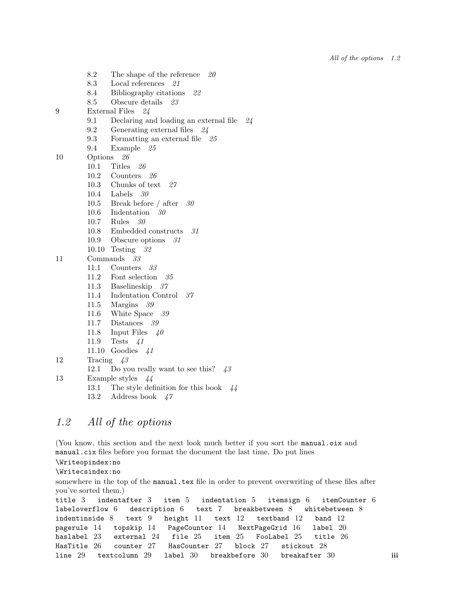- 8.2 The shape of the reference *20*
- 8.3 Local references *21*
- 8.4 Bibliography citations *22*
- 8.5 Obscure details *23*
- 9 External Files *24*
	- 9.1 Declaring and loading an external file *24*
	- 9.2 Generating external files *24*
	- 9.3 Formatting an external file *25*
	- 9.4 Example *25*
- 10 Options *26*
	- 10.1 Titles *26*
	- 10.2 Counters *26*
	- 10.3 Chunks of text *27*
	- 10.4 Labels *30*
	- 10.5 Break before / after *30*
	- 10.6 Indentation *30*
	- 10.7 Rules *30*
	- 10.8 Embedded constructs *31*
	- 10.9 Obscure options *31*
	- 10.10 Testing *32*
- 11 Commands *33*
	- 11.1 Counters *33*
	- 11.2 Font selection *35*
	- 11.3 Baselineskip *37*
	- 11.4 Indentation Control *37*
	- 11.5 Margins *39*
	- 11.6 White Space *39*
	- 11.7 Distances *39*
	- 11.8 Input Files *40*
	- 11.9 Tests *41*
	- 11.10 Goodies *41*
- 12 Tracing *43*
	- 12.1 Do you really want to see this? *43*
- 13 Example styles *44*
	- 13.1 The style definition for this book *44*
	- 13.2 Address book *47*

## *1.2 All of the options*

(You know, this section and the next look much better if you sort the manual.oix and manual.cix files before you format the document the last time. Do put lines

\Writeopindex:no

\Writecsindex:no

somewhere in the top of the manual.tex file in order to prevent overwriting of these files after you've sorted them.)

```
title 3 indentafter 3 item 5 indentation 5 itemsign 6 itemCounter 6
labeloverflow 6 description 6 text 7 breakbetween 8 whitebetween 8
indentinside 8 text 9 height 11 text 12 textband 12 band 12
pagerule 14 topskip 14 PageCounter 14 NextPageGrid 16 label 20
haslabel 23 external 24 file 25 item 25 FooLabel 25 title 26
HasTitle 26 counter 27 HasCounter 27 block 27 stickout 28
line 29 textcolumn 29 label 30 breakbefore 30 breakafter 30 iii
```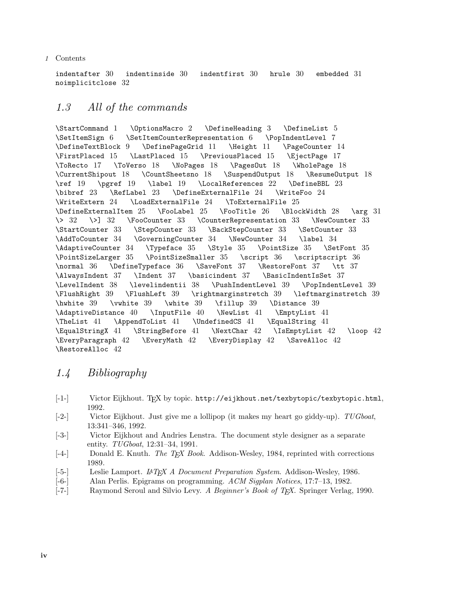#### 1 Contents

indentafter 30 indentinside 30 indentfirst 30 hrule 30 embedded 31 noimplicitclose 32

## *1.3 All of the commands*

\StartCommand 1 \OptionsMacro 2 \DefineHeading 3 \DefineList 5 \SetItemSign 6 \SetItemCounterRepresentation 6 \PopIndentLevel 7 \DefineTextBlock 9 \DefinePageGrid 11 \Height 11 \PageCounter 14 \FirstPlaced 15 \LastPlaced 15 \PreviousPlaced 15 \EjectPage 17 \ToRecto 17 \ToVerso 18 \NoPages 18 \PagesOut 18 \WholePage 18 \CurrentShipout 18 \CountSheetsno 18 \SuspendOutput 18 \ResumeOutput 18 \ref 19 \pgref 19 \label 19 \LocalReferences 22 \DefineBBL 23 \bibref 23 \RefLabel 23 \DefineExternalFile 24 \WriteFoo 24 \WriteExtern 24 \LoadExternalFile 24 \ToExternalFile 25 \DefineExternalItem 25 \FooLabel 25 \FooTitle 26 \BlockWidth 28 \arg 31 \> 32 \>] 32 \FooCounter 33 \CounterRepresentation 33 \NewCounter 33 \StartCounter 33 \StepCounter 33 \BackStepCounter 33 \SetCounter 33 \AddToCounter 34 \GoverningCounter 34 \NewCounter 34 \label 34 \AdaptiveCounter 34 \Typeface 35 \Style 35 \PointSize 35 \SetFont 35 \PointSizeLarger 35 \PointSizeSmaller 35 \script 36 \scriptscript 36 \normal 36 \DefineTypeface 36 \SaveFont 37 \RestoreFont 37 \tt 37 \AlwaysIndent 37 \Indent 37 \basicindent 37 \BasicIndentIsSet 37 \LevelIndent 38 \levelindentii 38 \PushIndentLevel 39 \PopIndentLevel 39 \FlushRight 39 \FlushLeft 39 \rightmarginstretch 39 \leftmarginstretch 39 \hwhite 39 \vwhite 39 \white 39 \fillup 39 \Distance 39 \AdaptiveDistance 40 \InputFile 40 \NewList 41 \EmptyList 41 \TheList 41 \AppendToList 41 \UndefinedCS 41 \EqualString 41 \EqualStringX 41 \StringBefore 41 \NextChar 42 \IsEmptyList 42 \loop 42 \EveryParagraph 42 \EveryMath 42 \EveryDisplay 42 \SaveAlloc 42 \RestoreAlloc 42

## *1.4 Bibliography*

- [-1-] Victor Eijkhout. TFX by topic. http://eijkhout.net/texbytopic/texbytopic.html, 1992.
- [-2-] Victor Eijkhout. Just give me a lollipop (it makes my heart go giddy-up). *TUGboat*, 13:341–346, 1992.
- [-3-] Victor Eijkhout and Andries Lenstra. The document style designer as a separate entity. *TUGboat*, 12:31–34, 1991.
- [-4-] Donald E. Knuth. *The TEX Book*. Addison-Wesley, 1984, reprinted with corrections 1989.
- [-5-] Leslie Lamport. *LATEX A Document Preparation System*. Addison-Wesley, 1986.<br>[-6-] Alan Perlis. Epigrams on programming. *ACM Sigplan Notices*, 17:7–13, 1982.
- [-6-] Alan Perlis. Epigrams on programming. *ACM Sigplan Notices*, 17:7–13, 1982.
- [-7-] Raymond Seroul and Silvio Levy. *A Beginner's Book of TEX*. Springer Verlag, 1990.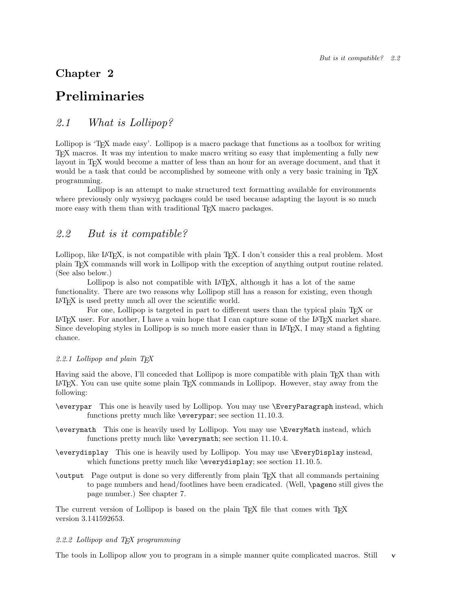## Chapter 2

## Preliminaries

## *2.1 What is Lollipop?*

Lollipop is 'T<sub>E</sub>X made easy'. Lollipop is a macro package that functions as a toolbox for writing TEX macros. It was my intention to make macro writing so easy that implementing a fully new layout in T<sub>EX</sub> would become a matter of less than an hour for an average document, and that it would be a task that could be accomplished by someone with only a very basic training in T<sub>E</sub>X programming.

Lollipop is an attempt to make structured text formatting available for environments where previously only wysiwyg packages could be used because adapting the layout is so much more easy with them than with traditional T<sub>E</sub>X macro packages.

## *2.2 But is it compatible?*

Lollipop, like LAT<sub>E</sub>X, is not compatible with plain T<sub>E</sub>X. I don't consider this a real problem. Most plain TEX commands will work in Lollipop with the exception of anything output routine related. (See also below.)

Lollipop is also not compatible with LAT<sub>EX</sub>, although it has a lot of the same functionality. There are two reasons why Lollipop still has a reason for existing, even though L<sup>A</sup>TEX is used pretty much all over the scientific world.

For one, Lollipop is targeted in part to different users than the typical plain T<sub>E</sub>X or LATEX user. For another, I have a vain hope that I can capture some of the LATEX market share. Since developing styles in Lollipop is so much more easier than in LAT<sub>EX</sub>, I may stand a fighting chance.

#### *2.2.1 Lollipop and plain TEX*

Having said the above, I'll conceded that Lollipop is more compatible with plain TEX than with L<sup>A</sup>TEX. You can use quite some plain TEX commands in Lollipop. However, stay away from the following:

- \everypar This one is heavily used by Lollipop. You may use \EveryParagraph instead, which functions pretty much like \everypar; see section 11.10.3.
- \everymath This one is heavily used by Lollipop. You may use \EveryMath instead, which functions pretty much like \everymath; see section 11.10.4.
- \everydisplay This one is heavily used by Lollipop. You may use \EveryDisplay instead, which functions pretty much like \everydisplay; see section 11.10.5.
- \output Page output is done so very differently from plain TEX that all commands pertaining to page numbers and head/footlines have been eradicated. (Well, \pageno still gives the page number.) See chapter 7.

The current version of Lollipop is based on the plain  $T_{\text{F}}X$  file that comes with  $T_{\text{F}}X$ version 3.141592653.

#### *2.2.2 Lollipop and TEX programming*

The tools in Lollipop allow you to program in a simple manner quite complicated macros. Still v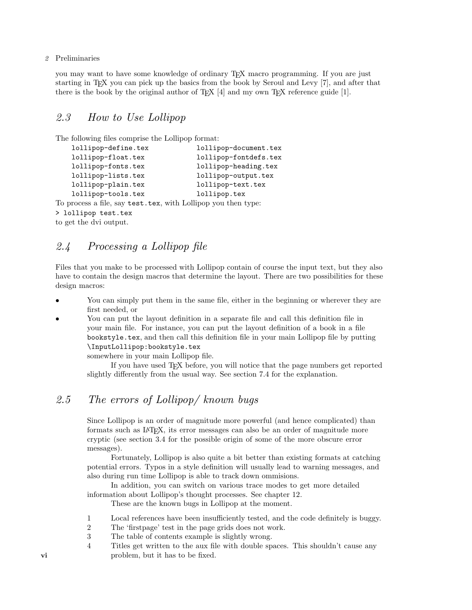2 Preliminaries

you may want to have some knowledge of ordinary TEX macro programming. If you are just starting in TEX you can pick up the basics from the book by Seroul and Levy [7], and after that there is the book by the original author of  $T_{E}X$  [4] and my own  $T_{E}X$  reference guide [1].

## *2.3 How to Use Lollipop*

The following files comprise the Lollipop format:

| lollipop-define.tex                                           | lollipop-document.tex |
|---------------------------------------------------------------|-----------------------|
| lollipop-float.tex                                            | lollipop-fontdefs.tex |
| lollipop-fonts.tex                                            | lollipop-heading.tex  |
| lollipop-lists.tex                                            | lollipop-output.tex   |
| lollipop-plain.tex                                            | lollipop-text.tex     |
| lollipop-tools.tex                                            | lollipop.tex          |
| To process a file, say test.tex, with Lollipop you then type: |                       |
| > lollipop test.tex                                           |                       |
|                                                               |                       |

to get the dvi output.

### *2.4 Processing a Lollipop file*

Files that you make to be processed with Lollipop contain of course the input text, but they also have to contain the design macros that determine the layout. There are two possibilities for these design macros:

- You can simply put them in the same file, either in the beginning or wherever they are first needed, or
- You can put the layout definition in a separate file and call this definition file in your main file. For instance, you can put the layout definition of a book in a file bookstyle.tex, and then call this definition file in your main Lollipop file by putting \InputLollipop:bookstyle.tex

somewhere in your main Lollipop file.

If you have used TEX before, you will notice that the page numbers get reported slightly differently from the usual way. See section 7.4 for the explanation.

## *2.5 The errors of Lollipop/ known bugs*

Since Lollipop is an order of magnitude more powerful (and hence complicated) than formats such as L<sup>A</sup>TEX, its error messages can also be an order of magnitude more cryptic (see section 3.4 for the possible origin of some of the more obscure error messages).

Fortunately, Lollipop is also quite a bit better than existing formats at catching potential errors. Typos in a style definition will usually lead to warning messages, and also during run time Lollipop is able to track down ommisions.

In addition, you can switch on various trace modes to get more detailed information about Lollipop's thought processes. See chapter 12.

These are the known bugs in Lollipop at the moment.

- 1 Local references have been insufficiently tested, and the code definitely is buggy.
- 2 The 'firstpage' test in the page grids does not work.
- 3 The table of contents example is slightly wrong.
- 4 Titles get written to the aux file with double spaces. This shouldn't cause any vi problem, but it has to be fixed.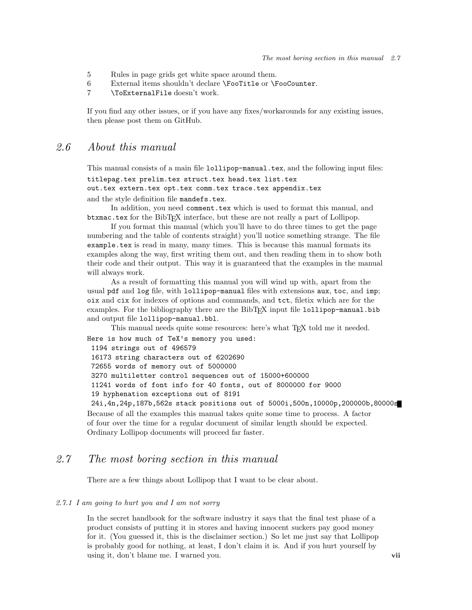- 5 Rules in page grids get white space around them.
- 6 External items shouldn't declare \FooTitle or \FooCounter.
- 7 \ToExternalFile doesn't work.

If you find any other issues, or if you have any fixes/workarounds for any existing issues, then please post them on GitHub.

### *2.6 About this manual*

This manual consists of a main file lollipop-manual.tex, and the following input files: titlepag.tex prelim.tex struct.tex head.tex list.tex out.tex extern.tex opt.tex comm.tex trace.tex appendix.tex

and the style definition file mandefs.tex.

In addition, you need comment.tex which is used to format this manual, and btxmac.tex for the BibTEX interface, but these are not really a part of Lollipop.

If you format this manual (which you'll have to do three times to get the page numbering and the table of contents straight) you'll notice something strange. The file example.tex is read in many, many times. This is because this manual formats its examples along the way, first writing them out, and then reading them in to show both their code and their output. This way it is guaranteed that the examples in the manual will always work.

As a result of formatting this manual you will wind up with, apart from the usual pdf and log file, with lollipop-manual files with extensions aux, toc, and imp; oix and cix for indexes of options and commands, and tct, filetix which are for the examples. For the bibliography there are the BibTFX input file lollipop-manual.bib and output file lollipop-manual.bbl.

This manual needs quite some resources: here's what T<sub>E</sub>X told me it needed.

Here is how much of TeX's memory you used: 1194 strings out of 496579 16173 string characters out of 6202690 72655 words of memory out of 5000000 3270 multiletter control sequences out of 15000+600000 11241 words of font info for 40 fonts, out of 8000000 for 9000 19 hyphenation exceptions out of 8191 24i,4n,24p,187b,562s stack positions out of 5000i,500n,10000p,200000b,80000s Because of all the examples this manual takes quite some time to process. A factor

of four over the time for a regular document of similar length should be expected. Ordinary Lollipop documents will proceed far faster.

## *2.7 The most boring section in this manual*

There are a few things about Lollipop that I want to be clear about.

#### *2.7.1 I am going to hurt you and I am not sorry*

In the secret handbook for the software industry it says that the final test phase of a product consists of putting it in stores and having innocent suckers pay good money for it. (You guessed it, this is the disclaimer section.) So let me just say that Lollipop is probably good for nothing, at least, I don't claim it is. And if you hurt yourself by using it, don't blame me. I warned you. vii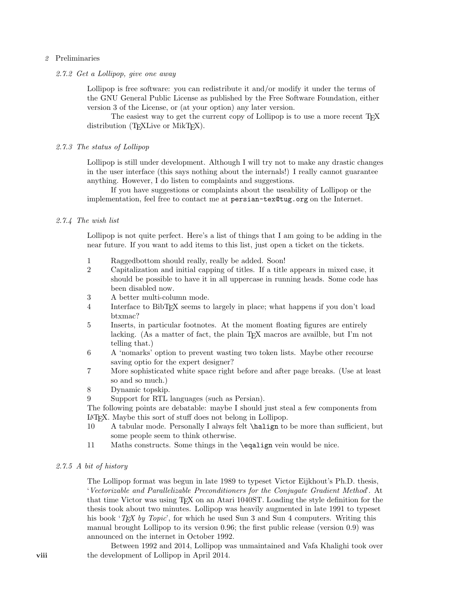#### 2 Preliminaries

#### *2.7.2 Get a Lollipop, give one away*

Lollipop is free software: you can redistribute it and/or modify it under the terms of the GNU General Public License as published by the Free Software Foundation, either version 3 of the License, or (at your option) any later version.

The easiest way to get the current copy of Lollipop is to use a more recent T<sub>E</sub>X distribution (T<sub>E</sub>XLive or MikT<sub>E</sub>X).

#### *2.7.3 The status of Lollipop*

Lollipop is still under development. Although I will try not to make any drastic changes in the user interface (this says nothing about the internals!) I really cannot guarantee anything. However, I do listen to complaints and suggestions.

If you have suggestions or complaints about the useability of Lollipop or the implementation, feel free to contact me at persian-tex@tug.org on the Internet.

#### *2.7.4 The wish list*

Lollipop is not quite perfect. Here's a list of things that I am going to be adding in the near future. If you want to add items to this list, just open a ticket on the tickets.

- 1 Raggedbottom should really, really be added. Soon!
- 2 Capitalization and initial capping of titles. If a title appears in mixed case, it should be possible to have it in all uppercase in running heads. Some code has been disabled now.
- 3 A better multi-column mode.
- 4 Interface to BibTEX seems to largely in place; what happens if you don't load btxmac?
- 5 Inserts, in particular footnotes. At the moment floating figures are entirely lacking. (As a matter of fact, the plain T<sub>EX</sub> macros are availble, but I'm not telling that.)
- 6 A 'nomarks' option to prevent wasting two token lists. Maybe other recourse saving optio for the expert designer?
- 7 More sophisticated white space right before and after page breaks. (Use at least so and so much.)
- 8 Dynamic topskip.
- 9 Support for RTL languages (such as Persian).

The following points are debatable: maybe I should just steal a few components from LATEX. Maybe this sort of stuff does not belong in Lollipop.<br>10 A tabular mode. Personally I always felt **\halign** to

- A tabular mode. Personally I always felt **\halign** to be more than sufficient, but some people seem to think otherwise.
- 11 Maths constructs. Some things in the \eqalign vein would be nice.

#### *2.7.5 A bit of history*

The Lollipop format was begun in late 1989 to typeset Victor Eijkhout's Ph.D. thesis, '*Vectorizable and Parallelizable Preconditioners for the Conjugate Gradient Method*'. At that time Victor was using TEX on an Atari 1040ST. Loading the style definition for the thesis took about two minutes. Lollipop was heavily augmented in late 1991 to typeset his book '*TEX by Topic*', for which he used Sun 3 and Sun 4 computers. Writing this manual brought Lollipop to its version 0.96; the first public release (version 0.9) was announced on the internet in October 1992.

Between 1992 and 2014, Lollipop was unmaintained and Vafa Khalighi took over viii the development of Lollipop in April 2014.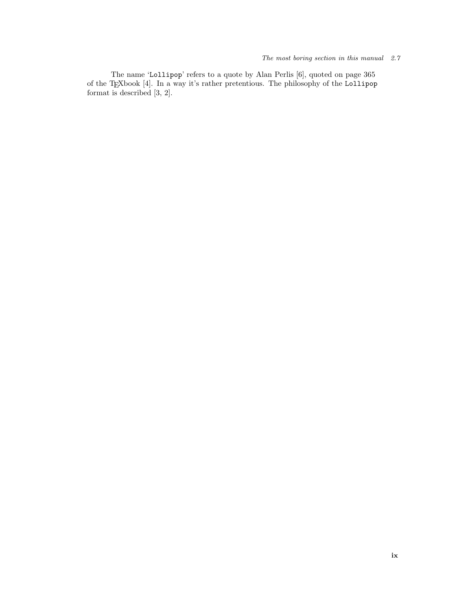#### The most boring section in this manual 2.7

The name 'Lollipop' refers to a quote by Alan Perlis [6], quoted on page 365 of the TEXbook [4]. In a way it's rather pretentious. The philosophy of the Lollipop format is described [3, 2].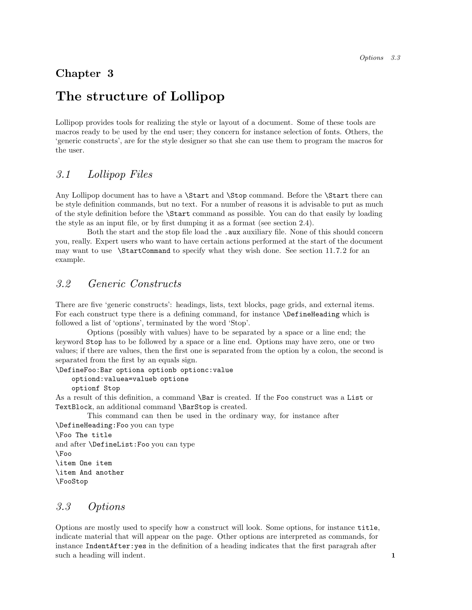## Chapter 3

## The structure of Lollipop

Lollipop provides tools for realizing the style or layout of a document. Some of these tools are macros ready to be used by the end user; they concern for instance selection of fonts. Others, the 'generic constructs', are for the style designer so that she can use them to program the macros for the user.

## *3.1 Lollipop Files*

Any Lollipop document has to have a \Start and \Stop command. Before the \Start there can be style definition commands, but no text. For a number of reasons it is advisable to put as much of the style definition before the \Start command as possible. You can do that easily by loading the style as an input file, or by first dumping it as a format (see section 2.4).

Both the start and the stop file load the . aux auxiliary file. None of this should concern you, really. Expert users who want to have certain actions performed at the start of the document may want to use \StartCommand to specify what they wish done. See section 11.7.2 for an example.

## *3.2 Generic Constructs*

There are five 'generic constructs': headings, lists, text blocks, page grids, and external items. For each construct type there is a defining command, for instance \DefineHeading which is followed a list of 'options', terminated by the word 'Stop'.

Options (possibly with values) have to be separated by a space or a line end; the keyword Stop has to be followed by a space or a line end. Options may have zero, one or two values; if there are values, then the first one is separated from the option by a colon, the second is separated from the first by an equals sign.

#### \DefineFoo:Bar optiona optionb optionc:value

#### optiond:valuea=valueb optione

optionf Stop

As a result of this definition, a command \Bar is created. If the Foo construct was a List or TextBlock, an additional command \BarStop is created.

This command can then be used in the ordinary way, for instance after \DefineHeading:Foo you can type

```
\Foo The title
and after \DefineList:Foo you can type
\Foo
\item One item
\item And another
\FooStop
```
### *3.3 Options*

Options are mostly used to specify how a construct will look. Some options, for instance title, indicate material that will appear on the page. Other options are interpreted as commands, for instance IndentAfter:yes in the definition of a heading indicates that the first paragrah after such a heading will indent. 1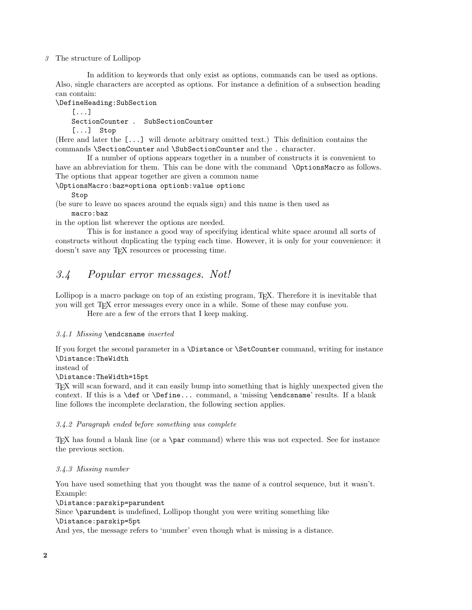#### 3 The structure of Lollipop

In addition to keywords that only exist as options, commands can be used as options. Also, single characters are accepted as options. For instance a definition of a subsection heading can contain:

\DefineHeading:SubSection

[...]

SectionCounter . SubSectionCounter

[...] Stop

(Here and later the [...] will denote arbitrary omitted text.) This definition contains the commands \SectionCounter and \SubSectionCounter and the . character.

If a number of options appears together in a number of constructs it is convenient to have an abbreviation for them. This can be done with the command \OptionsMacro as follows. The options that appear together are given a common name

\OptionsMacro:baz=optiona optionb:value optionc

Stop

(be sure to leave no spaces around the equals sign) and this name is then used as macro:baz

in the option list wherever the options are needed.

This is for instance a good way of specifying identical white space around all sorts of constructs without duplicating the typing each time. However, it is only for your convenience: it doesn't save any T<sub>F</sub>X resources or processing time.

## *3.4 Popular error messages. Not!*

Lollipop is a macro package on top of an existing program, T<sub>EX</sub>. Therefore it is inevitable that you will get TEX error messages every once in a while. Some of these may confuse you.

Here are a few of the errors that I keep making.

#### *3.4.1 Missing* \endcsname *inserted*

If you forget the second parameter in a \Distance or \SetCounter command, writing for instance \Distance:TheWidth

#### instead of

#### \Distance:TheWidth=15pt

TEX will scan forward, and it can easily bump into something that is highly unexpected given the context. If this is a \def or \Define... command, a 'missing \endcsname' results. If a blank line follows the incomplete declaration, the following section applies.

#### *3.4.2 Paragraph ended before something was complete*

TEX has found a blank line (or a \par command) where this was not expected. See for instance the previous section.

#### *3.4.3 Missing number*

You have used something that you thought was the name of a control sequence, but it wasn't. Example:

\Distance:parskip=parundent

Since \parundent is undefined, Lollipop thought you were writing something like \Distance:parskip=5pt

And yes, the message refers to 'number' even though what is missing is a distance.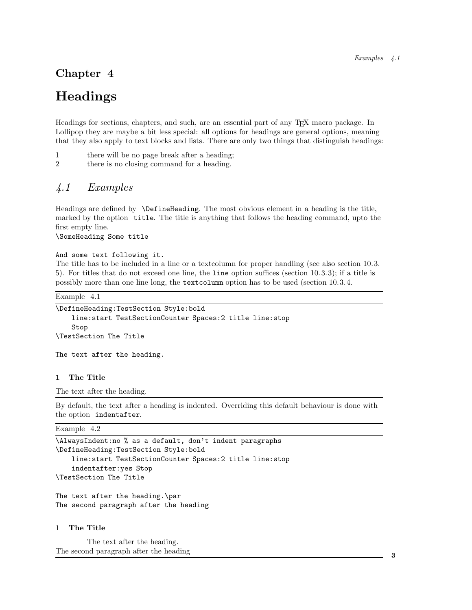## Chapter 4

## Headings

Headings for sections, chapters, and such, are an essential part of any TEX macro package. In Lollipop they are maybe a bit less special: all options for headings are general options, meaning that they also apply to text blocks and lists. There are only two things that distinguish headings:

- 1 there will be no page break after a heading;
- 2 there is no closing command for a heading.

## *4.1 Examples*

Headings are defined by \DefineHeading. The most obvious element in a heading is the title, marked by the option title. The title is anything that follows the heading command, upto the first empty line.

\SomeHeading Some title

#### And some text following it.

The title has to be included in a line or a text column for proper handling (see also section 10.3. 5). For titles that do not exceed one line, the line option suffices (section 10.3.3); if a title is possibly more than one line long, the textcolumn option has to be used (section 10.3.4.

Example 4.1

```
\DefineHeading:TestSection Style:bold
   line:start TestSectionCounter Spaces:2 title line:stop
    Stop
\TestSection The Title
```
The text after the heading.

#### 1 The Title

The text after the heading.

By default, the text after a heading is indented. Overriding this default behaviour is done with the option indentafter.

#### Example 4.2

```
\AlwaysIndent:no % as a default, don't indent paragraphs
\DefineHeading:TestSection Style:bold
    line:start TestSectionCounter Spaces:2 title line:stop
    indentafter:yes Stop
\TestSection The Title
The text after the heading.\par
The second paragraph after the heading
```
#### 1 The Title

The text after the heading. The second paragraph after the heading <sup>3</sup>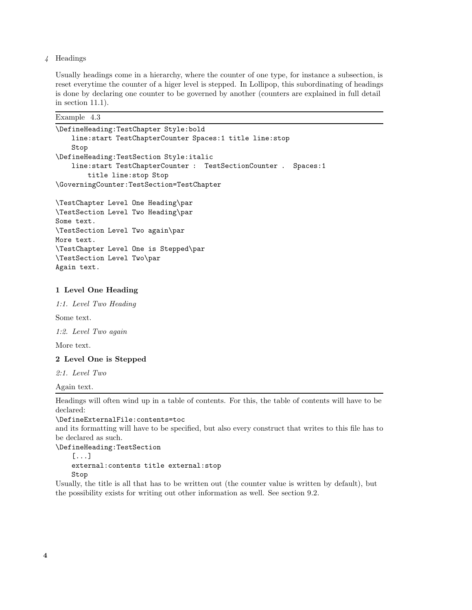#### 4 Headings

Usually headings come in a hierarchy, where the counter of one type, for instance a subsection, is reset everytime the counter of a higer level is stepped. In Lollipop, this subordinating of headings is done by declaring one counter to be governed by another (counters are explained in full detail in section 11.1).

| Example | 4.3 |
|---------|-----|
|---------|-----|

| \DefineHeading:TestChapter Style:bold                         |
|---------------------------------------------------------------|
| line:start TestChapterCounter Spaces:1 title line:stop        |
| Stop                                                          |
| \DefineHeading:TestSection Style:italic                       |
| line:start TestChapterCounter : TestSectionCounter . Spaces:1 |
| title line: stop Stop                                         |
| \GoverningCounter:TestSection=TestChapter                     |
|                                                               |
| \TestChapter Level One Heading\par                            |
| \TestSection Level Two Heading\par                            |
| Some text.                                                    |
| \TestSection Level Two again\par                              |
| More text.                                                    |

\TestChapter Level One is Stepped\par \TestSection Level Two\par Again text.

#### 1 Level One Heading

*1:1. Level Two Heading*

Some text.

*1:2. Level Two again*

More text.

#### 2 Level One is Stepped

*2:1. Level Two*

Again text.

Headings will often wind up in a table of contents. For this, the table of contents will have to be declared:

#### \DefineExternalFile:contents=toc

and its formatting will have to be specified, but also every construct that writes to this file has to be declared as such.

#### \DefineHeading:TestSection

[...] external:contents title external:stop Stop

Usually, the title is all that has to be written out (the counter value is written by default), but the possibility exists for writing out other information as well. See section 9.2.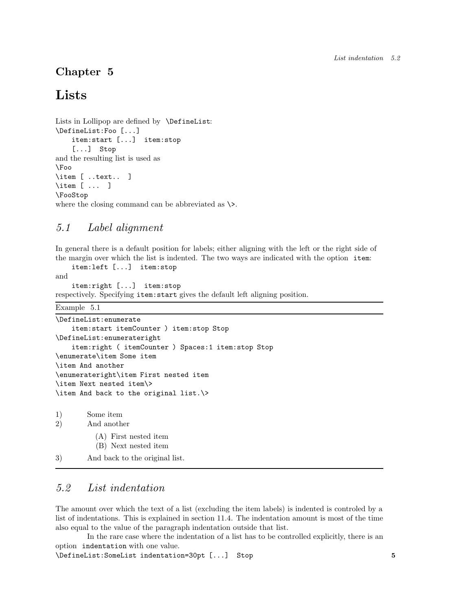## Chapter 5

## Lists

```
Lists in Lollipop are defined by \DefineList:
\DefineList:Foo [...]
    item:start [...] item:stop
    [...] Stop
and the resulting list is used as
\Foo
\item [ ..text.. ]
\item [ ... ]
\FooStop
where the closing command can be abbreviated as \&.
```
## *5.1 Label alignment*

In general there is a default position for labels; either aligning with the left or the right side of the margin over which the list is indented. The two ways are indicated with the option item:

```
item:left [...] item:stop
and
```
item:right [...] item:stop respectively. Specifying item:start gives the default left aligning position.

#### Example 5.1

```
\DefineList:enumerate
    item:start itemCounter ) item:stop Stop
\DefineList:enumerateright
   item:right ( itemCounter ) Spaces:1 item:stop Stop
\enumerate\item Some item
\item And another
\enumerateright\item First nested item
\item Next nested item\>
\item And back to the original list.\>
1) Some item
2) And another
```

```
(A) First nested item
```

```
(B) Next nested item
```
3) And back to the original list.

## *5.2 List indentation*

The amount over which the text of a list (excluding the item labels) is indented is controled by a list of indentations. This is explained in section 11.4. The indentation amount is most of the time also equal to the value of the paragraph indentation outside that list.

In the rare case where the indentation of a list has to be controlled explicitly, there is an option indentation with one value.

\DefineList:SomeList indentation=30pt [...] Stop 5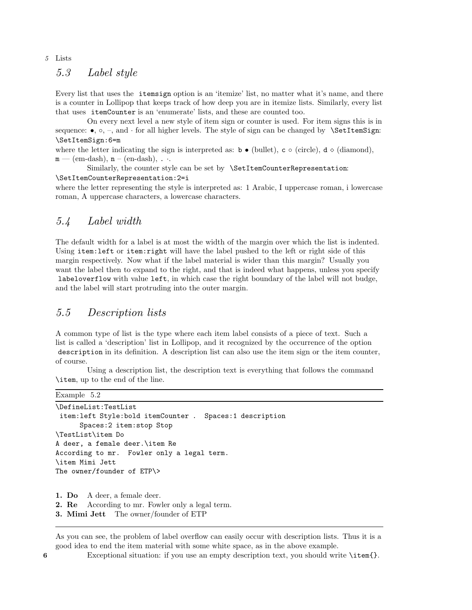#### 5 Lists

## *5.3 Label style*

Every list that uses the itemsign option is an 'itemize' list, no matter what it's name, and there is a counter in Lollipop that keeps track of how deep you are in itemize lists. Similarly, every list that uses itemCounter is an 'enumerate' lists, and these are counted too.

On every next level a new style of item sign or counter is used. For item signs this is in sequence: •,  $\circ$ , –, and  $\cdot$  for all higher levels. The style of sign can be changed by **\SetItemSign:** \SetItemSign:6=m

where the letter indicating the sign is interpreted as:  $\mathbf{b} \bullet (\text{bullet})$ ,  $\mathbf{c} \circ (\text{circle})$ ,  $\mathbf{d} \diamond (\text{diamond})$ ,  $\mathbf{d} \circ (\text{diamond})$ ,  $m$  — (em-dash),  $n$  – (en-dash),  $\ldots$ 

Similarly, the counter style can be set by \SetItemCounterRepresentation: \SetItemCounterRepresentation:2=i

where the letter representing the style is interpreted as: 1 Arabic, I uppercase roman, i lowercase roman, A uppercase characters, a lowercase characters.

## *5.4 Label width*

The default width for a label is at most the width of the margin over which the list is indented. Using item:left or item:right will have the label pushed to the left or right side of this margin respectively. Now what if the label material is wider than this margin? Usually you want the label then to expand to the right, and that is indeed what happens, unless you specify labeloverflow with value left, in which case the right boundary of the label will not budge, and the label will start protruding into the outer margin.

## *5.5 Description lists*

A common type of list is the type where each item label consists of a piece of text. Such a list is called a 'description' list in Lollipop, and it recognized by the occurrence of the option description in its definition. A description list can also use the item sign or the item counter, of course.

Using a description list, the description text is everything that follows the command \item, up to the end of the line.

```
Example 5.2
```

```
\DefineList:TestList
 item:left Style:bold itemCounter . Spaces:1 description
      Spaces:2 item:stop Stop
\TestList\item Do
A deer, a female deer.\item Re
According to mr. Fowler only a legal term.
\item Mimi Jett
The owner/founder of ETP\>
```
1. Do A deer, a female deer.

2. Re According to mr. Fowler only a legal term.

As you can see, the problem of label overflow can easily occur with description lists. Thus it is a good idea to end the item material with some white space, as in the above example.

6 Exceptional situation: if you use an empty description text, you should write \item{}.

<sup>3.</sup> Mimi Jett The owner/founder of ETP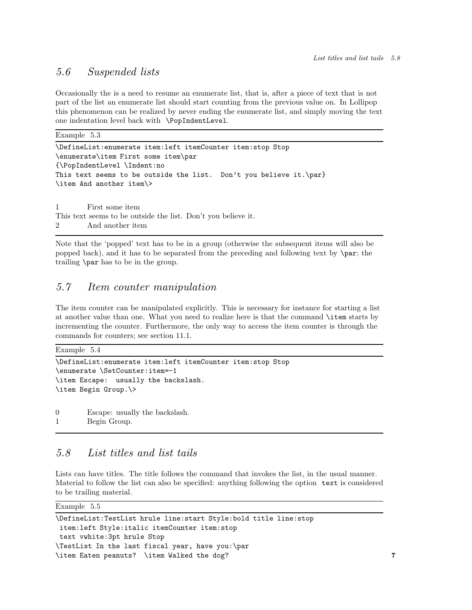## *5.6 Suspended lists*

Occasionally the is a need to resume an enumerate list, that is, after a piece of text that is not part of the list an enumerate list should start counting from the previous value on. In Lollipop this phenomenon can be realized by never ending the enumerate list, and simply moving the text one indentation level back with \PopIndentLevel.

Example 5.3

```
\DefineList:enumerate item:left itemCounter item:stop Stop
\enumerate\item First some item\par
{\PopIndentLevel \Indent:no
This text seems to be outside the list. Don't you believe it.\par}
\item And another item\>
```
1 First some item This text seems to be outside the list. Don't you believe it. 2 And another item

Note that the 'popped' text has to be in a group (otherwise the subsequent items will also be popped back), and it has to be separated from the preceding and following text by \par; the trailing \par has to be in the group.

## *5.7 Item counter manipulation*

The item counter can be manipulated explicitly. This is necessary for instance for starting a list at another value than one. What you need to realize here is that the command \item starts by incrementing the counter. Furthermore, the only way to access the item counter is through the commands for counters; see section 11.1.

| Example 5.4                                                |
|------------------------------------------------------------|
| \DefineList:enumerate item:left itemCounter item:stop Stop |
| \enumerate \SetCounter:item=-1                             |
| \item Escape: usually the backslash.                       |
| \item Begin Group.\>                                       |
|                                                            |
| Escape: usually the backslash.<br>0                        |

1 Begin Group.

## *5.8 List titles and list tails*

Lists can have titles. The title follows the command that invokes the list, in the usual manner. Material to follow the list can also be specified: anything following the option text is considered to be trailing material.

| Example | 8.S |
|---------|-----|
|---------|-----|

| \DefineList:TestList hrule line:start Style:bold title line:stop |   |
|------------------------------------------------------------------|---|
| item:left Style:italic itemCounter item:stop                     |   |
| text vwhite:3pt hrule Stop                                       |   |
| TestList In the last fiscal year, have you:\par                  |   |
| \item Eaten peanuts? \item Walked the dog?                       | 7 |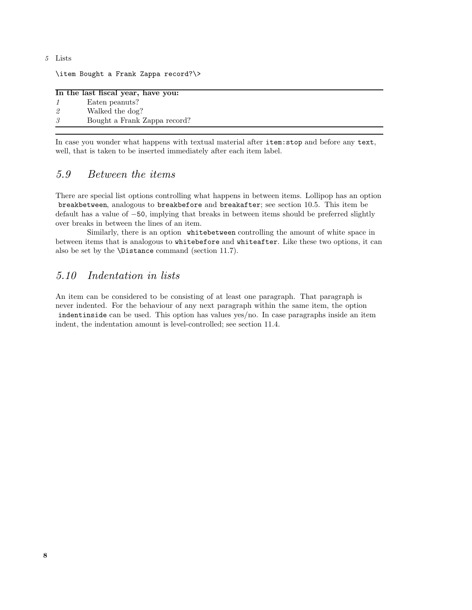#### 5 Lists

\item Bought a Frank Zappa record?\>

|    | In the last fiscal year, have you: |
|----|------------------------------------|
| -1 | Eaten peanuts?                     |
| –2 | Walked the dog?                    |
| -3 | Bought a Frank Zappa record?       |

In case you wonder what happens with textual material after item:stop and before any text, well, that is taken to be inserted immediately after each item label.

## *5.9 Between the items*

There are special list options controlling what happens in between items. Lollipop has an option breakbetween, analogous to breakbefore and breakafter; see section 10.5. This item be default has a value of −50, implying that breaks in between items should be preferred slightly over breaks in between the lines of an item.

Similarly, there is an option whitebetween controlling the amount of white space in between items that is analogous to whitebefore and whiteafter. Like these two options, it can also be set by the \Distance command (section 11.7).

## *5.10 Indentation in lists*

An item can be considered to be consisting of at least one paragraph. That paragraph is never indented. For the behaviour of any next paragraph within the same item, the option indentinside can be used. This option has values yes/no. In case paragraphs inside an item indent, the indentation amount is level-controlled; see section 11.4.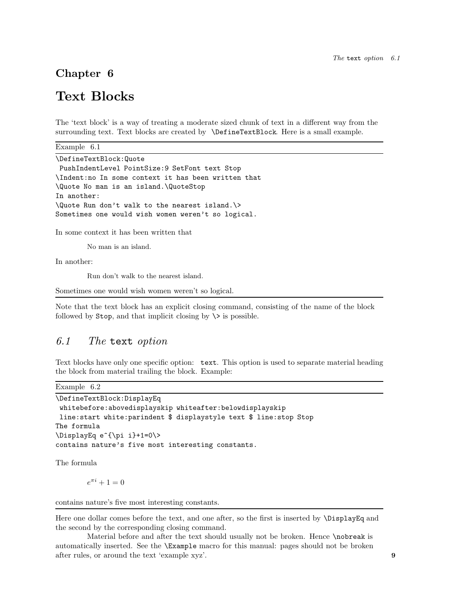## Chapter 6

## Text Blocks

The 'text block' is a way of treating a moderate sized chunk of text in a different way from the surrounding text. Text blocks are created by \DefineTextBlock. Here is a small example.

Example 6.1 \DefineTextBlock:Quote PushIndentLevel PointSize:9 SetFont text Stop \Indent:no In some context it has been written that \Quote No man is an island.\QuoteStop In another: \Quote Run don't walk to the nearest island.\> Sometimes one would wish women weren't so logical.

In some context it has been written that

No man is an island.

In another:

Run don't walk to the nearest island.

Sometimes one would wish women weren't so logical.

Note that the text block has an explicit closing command, consisting of the name of the block followed by  $\text{Stop}$ , and that implicit closing by  $\>$  is possible.

### *6.1 The* text *option*

Text blocks have only one specific option: text. This option is used to separate material heading the block from material trailing the block. Example:

Example 6.2

```
\DefineTextBlock:DisplayEq
whitebefore:abovedisplayskip whiteafter:belowdisplayskip
line:start white:parindent $ displaystyle text $ line:stop Stop
The formula
\DisplayEq e^{\pi i}+1=0\>
contains nature's five most interesting constants.
```
The formula

 $e^{\pi i} + 1 = 0$ 

contains nature's five most interesting constants.

Here one dollar comes before the text, and one after, so the first is inserted by \DisplayEq and the second by the corresponding closing command.

Material before and after the text should usually not be broken. Hence \nobreak is automatically inserted. See the \Example macro for this manual: pages should not be broken after rules, or around the text 'example xyz'. 9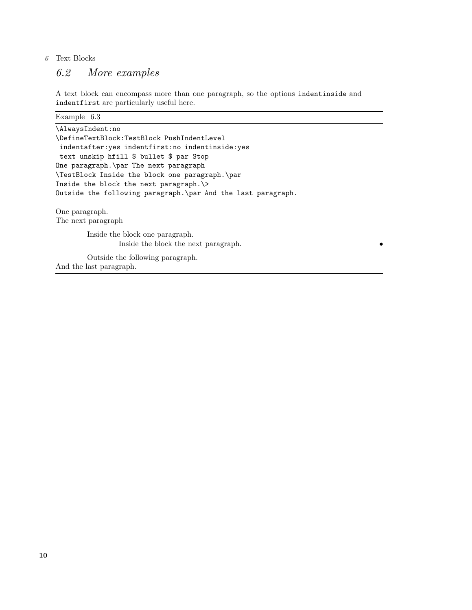#### $6$   $\,$  Text Blocks

## *6.2 More examples*

A text block can encompass more than one paragraph, so the options indentinside and indentfirst are particularly useful here.

| Example $6.3$                                                 |
|---------------------------------------------------------------|
| \AlwaysIndent:no                                              |
| \DefineTextBlock:TestBlock PushIndentLevel                    |
| indentafter: yes indentfirst: no indentinside: yes            |
| text unskip hfill \$ bullet \$ par Stop                       |
| One paragraph. \par The next paragraph                        |
| \TestBlock Inside the block one paragraph.\par                |
| Inside the block the next paragraph. \>                       |
| Outside the following paragraph. \par And the last paragraph. |
| One paragraph.                                                |
| The next paragraph                                            |
| Inside the block one paragraph.                               |
| Inside the block the next paragraph.                          |
| Outside the following paragraph.                              |
| And the last paragraph.                                       |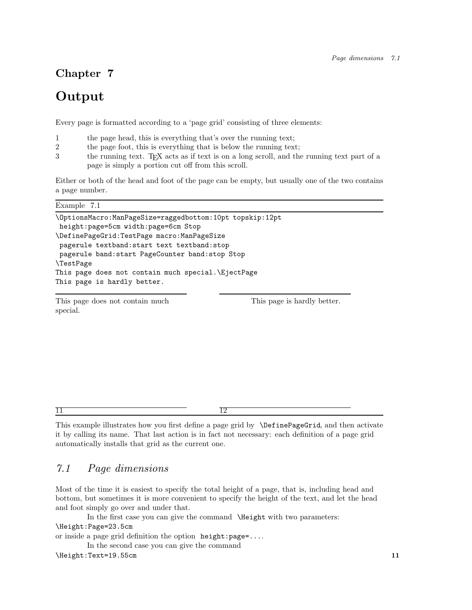## Chapter 7

## **Output**

Every page is formatted according to a 'page grid' consisting of three elements:

- 1 the page head, this is everything that's over the running text;
- 2 the page foot, this is everything that is below the running text;
- 3 the running text. T<sub>E</sub>X acts as if text is on a long scroll, and the running text part of a page is simply a portion cut off from this scroll.

Either or both of the head and foot of the page can be empty, but usually one of the two contains a page number.

Example 7.1

```
\OptionsMacro:ManPageSize=raggedbottom:10pt topskip:12pt
height:page=5cm width:page=6cm Stop
\DefinePageGrid:TestPage macro:ManPageSize
pagerule textband:start text textband:stop
pagerule band:start PageCounter band:stop Stop
\TestPage
This page does not contain much special.\EjectPage
This page is hardly better.
```
This page does not contain much special.

This page is hardly better.

 $\prod$ 

12

This example illustrates how you first define a page grid by \DefinePageGrid, and then activate it by calling its name. That last action is in fact not necessary: each definition of a page grid automatically installs that grid as the current one.

## *7.1 Page dimensions*

Most of the time it is easiest to specify the total height of a page, that is, including head and bottom, but sometimes it is more convenient to specify the height of the text, and let the head and foot simply go over and under that.

In the first case you can give the command \Height with two parameters:

```
\Height:Page=23.5cm
```

```
or inside a page grid definition the option height:page=....
```
In the second case you can give the command

#### \Height:Text=19.55cm 11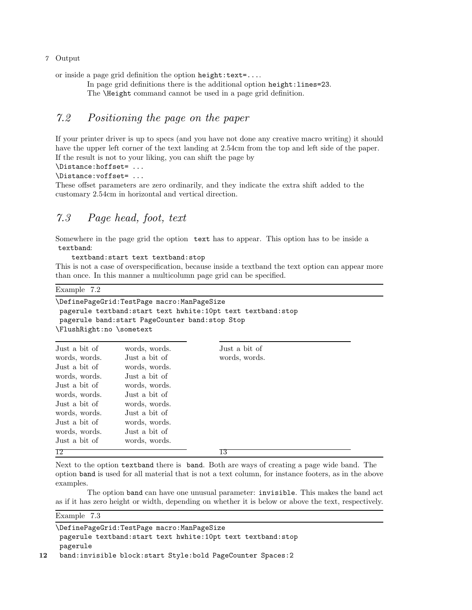#### 7 Output

or inside a page grid definition the option height:text=....

In page grid definitions there is the additional option height:lines=23.

The \Height command cannot be used in a page grid definition.

## *7.2 Positioning the page on the paper*

If your printer driver is up to specs (and you have not done any creative macro writing) it should have the upper left corner of the text landing at 2.54cm from the top and left side of the paper. If the result is not to your liking, you can shift the page by

```
\Distance:hoffset= ...
```

```
\Distance:voffset= ...
```
These offset parameters are zero ordinarily, and they indicate the extra shift added to the customary 2.54cm in horizontal and vertical direction.

## *7.3 Page head, foot, text*

Somewhere in the page grid the option text has to appear. This option has to be inside a textband:

textband:start text textband:stop

This is not a case of overspecification, because inside a textband the text option can appear more than once. In this manner a multicolumn page grid can be specified.

Example 7.2

```
\DefinePageGrid:TestPage macro:ManPageSize
pagerule textband:start text hwhite:10pt text textband:stop
pagerule band:start PageCounter band:stop Stop
\FlushRight:no \sometext
```

| Just a bit of | words, words. | Just a bit of |
|---------------|---------------|---------------|
|               |               |               |
| words, words. | Just a bit of | words, words. |
| Just a bit of | words, words. |               |
| words, words. | Just a bit of |               |
| Just a bit of | words, words. |               |
| words, words. | Just a bit of |               |
| Just a bit of | words, words. |               |
| words, words. | Just a bit of |               |
| Just a bit of | words, words. |               |
| words, words. | Just a bit of |               |
| Just a bit of | words, words. |               |
| 12            |               | 13            |

Next to the option textband there is band. Both are ways of creating a page wide band. The option band is used for all material that is not a text column, for instance footers, as in the above examples.

The option band can have one unusual parameter: invisible. This makes the band act as if it has zero height or width, depending on whether it is below or above the text, respectively.

Example 7.3

\DefinePageGrid:TestPage macro:ManPageSize pagerule textband:start text hwhite:10pt text textband:stop pagerule 12 band:invisible block:start Style:bold PageCounter Spaces:2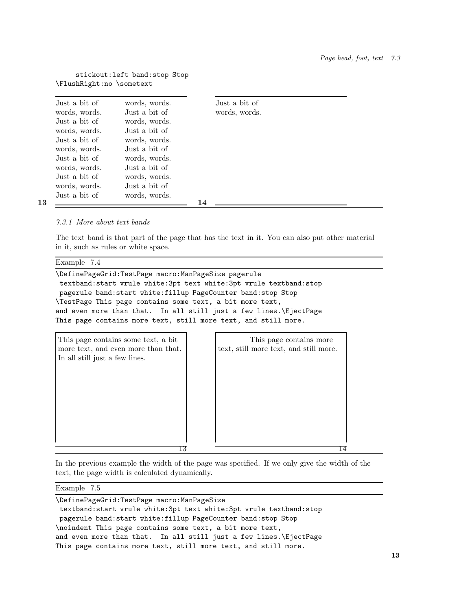#### stickout:left band:stop Stop \FlushRight:no \sometext

| Just a bit of | words, words. | Just a bit of |  |
|---------------|---------------|---------------|--|
| words, words. | Just a bit of | words, words. |  |
| Just a bit of | words, words. |               |  |
| words, words. | Just a bit of |               |  |
| Just a bit of | words, words. |               |  |
| words, words. | Just a bit of |               |  |
| Just a bit of | words, words. |               |  |
| words, words. | Just a bit of |               |  |
| Just a bit of | words, words. |               |  |
| words, words. | Just a bit of |               |  |
| Just a bit of | words, words. |               |  |
|               |               | 14            |  |

13

#### *7.3.1 More about text bands*

The text band is that part of the page that has the text in it. You can also put other material in it, such as rules or white space.

Example 7.4

\DefinePageGrid:TestPage macro:ManPageSize pagerule textband:start vrule white:3pt text white:3pt vrule textband:stop pagerule band:start white:fillup PageCounter band:stop Stop \TestPage This page contains some text, a bit more text, and even more than that. In all still just a few lines.\EjectPage This page contains more text, still more text, and still more.

| This page contains some text, a bit                                   | This page contains more                |  |
|-----------------------------------------------------------------------|----------------------------------------|--|
| more text, and even more than that.<br>In all still just a few lines. | text, still more text, and still more. |  |
|                                                                       |                                        |  |
|                                                                       |                                        |  |
|                                                                       |                                        |  |
|                                                                       |                                        |  |
|                                                                       |                                        |  |
|                                                                       |                                        |  |
| 13                                                                    |                                        |  |

In the previous example the width of the page was specified. If we only give the width of the text, the page width is calculated dynamically.

#### Example 7.5

\DefinePageGrid:TestPage macro:ManPageSize textband:start vrule white:3pt text white:3pt vrule textband:stop pagerule band:start white:fillup PageCounter band:stop Stop \noindent This page contains some text, a bit more text, and even more than that. In all still just a few lines.\EjectPage This page contains more text, still more text, and still more.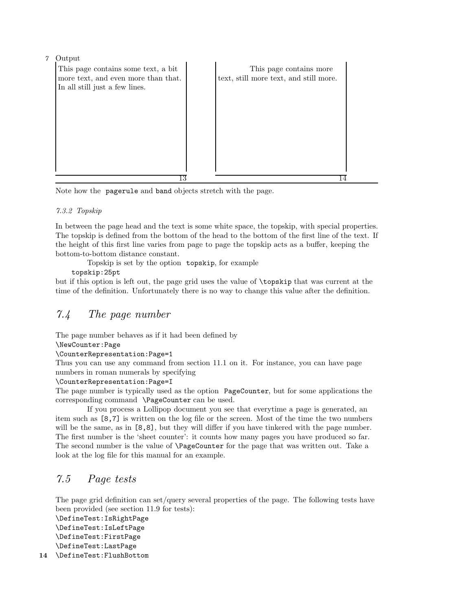7 Output



Note how the pagerule and band objects stretch with the page.

#### *7.3.2 Topskip*

In between the page head and the text is some white space, the topskip, with special properties. The topskip is defined from the bottom of the head to the bottom of the first line of the text. If the height of this first line varies from page to page the topskip acts as a buffer, keeping the bottom-to-bottom distance constant.

Topskip is set by the option topskip, for example

topskip:25pt

but if this option is left out, the page grid uses the value of \topskip that was current at the time of the definition. Unfortunately there is no way to change this value after the definition.

## *7.4 The page number*

The page number behaves as if it had been defined by

\NewCounter:Page

\CounterRepresentation:Page=1

Thus you can use any command from section 11.1 on it. For instance, you can have page numbers in roman numerals by specifying

\CounterRepresentation:Page=I

The page number is typically used as the option PageCounter, but for some applications the corresponding command \PageCounter can be used.

If you process a Lollipop document you see that everytime a page is generated, an item such as [8,7] is written on the log file or the screen. Most of the time the two numbers will be the same, as in [8,8], but they will differ if you have tinkered with the page number. The first number is the 'sheet counter': it counts how many pages you have produced so far. The second number is the value of \PageCounter for the page that was written out. Take a look at the log file for this manual for an example.

## *7.5 Page tests*

The page grid definition can set/query several properties of the page. The following tests have been provided (see section 11.9 for tests):

```
\DefineTest:IsRightPage
   \DefineTest:IsLeftPage
    \DefineTest:FirstPage
   \DefineTest:LastPage
14 \DefineTest:FlushBottom
```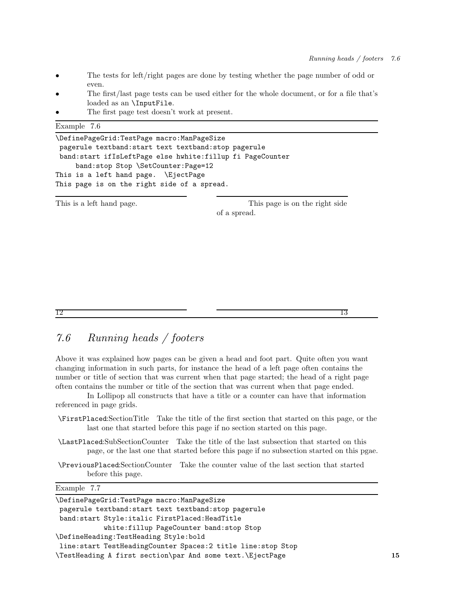13

- The tests for left/right pages are done by testing whether the page number of odd or even.
- The first/last page tests can be used either for the whole document, or for a file that's loaded as an \InputFile.
- The first page test doesn't work at present.

| Example<br>7.6 |  |
|----------------|--|
|----------------|--|

| \DefinePageGrid:TestPage macro:ManPageSize                |
|-----------------------------------------------------------|
| pagerule textband: start text textband: stop pagerule     |
| band:start ifIsLeftPage else hwhite:fillup fi PageCounter |
| band: stop Stop \SetCounter: Page=12                      |
| This is a left hand page. \EjectPage                      |
| This page is on the right side of a spread.               |

This is a left hand page.

This page is on the right side of a spread.

12

## *7.6 Running heads / footers*

Above it was explained how pages can be given a head and foot part. Quite often you want changing information in such parts, for instance the head of a left page often contains the number or title of section that was current when that page started; the head of a right page often contains the number or title of the section that was current when that page ended.

In Lollipop all constructs that have a title or a counter can have that information referenced in page grids.

- \FirstPlaced:SectionTitle Take the title of the first section that started on this page, or the last one that started before this page if no section started on this page.
- \LastPlaced:SubSectionCounter Take the title of the last subsection that started on this page, or the last one that started before this page if no subsection started on this pgae.
- \PreviousPlaced:SectionCounter Take the counter value of the last section that started before this page.

Example 7.7

| \DefinePageGrid:TestPage macro:ManPageSize                  |    |
|-------------------------------------------------------------|----|
| pagerule textband: start text textband: stop pagerule       |    |
| band:start Style:italic FirstPlaced:HeadTitle               |    |
| white:fillup PageCounter band:stop Stop                     |    |
| \DefineHeading:TestHeading Style:bold                       |    |
| line:start TestHeadingCounter Spaces:2 title line:stop Stop |    |
| \TestHeading A first section\par And some text.\EjectPage   | 15 |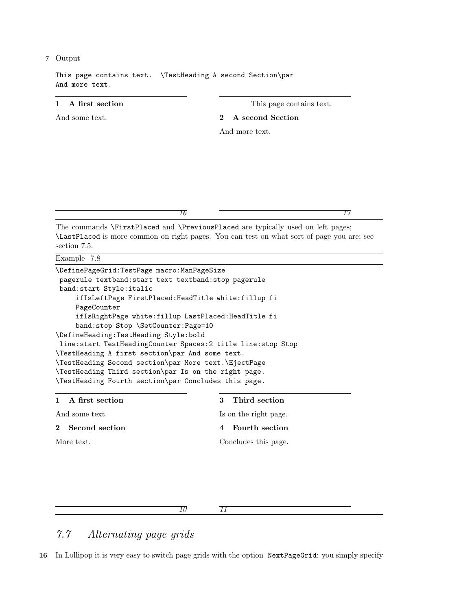#### 7 Output

This page contains text. \TestHeading A second Section\par And more text.

#### 1 A first section

And some text.

This page contains text.

#### 2 A second Section

And more text.

*16*

#### *17*

The commands \FirstPlaced and \PreviousPlaced are typically used on left pages; \LastPlaced is more common on right pages. You can test on what sort of page you are; see section 7.5.

#### Example 7.8

| \DefinePageGrid:TestPage macro:ManPageSize                     |
|----------------------------------------------------------------|
| pagerule textband: start text textband: stop pagerule          |
| band:start Style:italic                                        |
| ifIsLeftPage FirstPlaced: HeadTitle white: fillup fi           |
| PageCounter                                                    |
| ifIsRightPage white:fillup LastPlaced:HeadTitle fi             |
| band:stop Stop \SetCounter:Page=10                             |
| \DefineHeading:TestHeading Style:bold                          |
| line: start TestHeadingCounter Spaces: 2 title line: stop Stop |
| \TestHeading A first section\par And some text.                |
| \TestHeading Second section\par More text.\EjectPage           |
| \TestHeading Third section\par Is on the right page.           |
| \TestHeading Fourth section\par Concludes this page.           |
|                                                                |

| 1 A first section | 3 Third section       |
|-------------------|-----------------------|
| And some text.    | Is on the right page. |
| 2 Second section  | 4 Fourth section      |
| More text.        | Concludes this page.  |

*10*

*11*

## *7.7 Alternating page grids*

16 In Lollipop it is very easy to switch page grids with the option NextPageGrid: you simply specify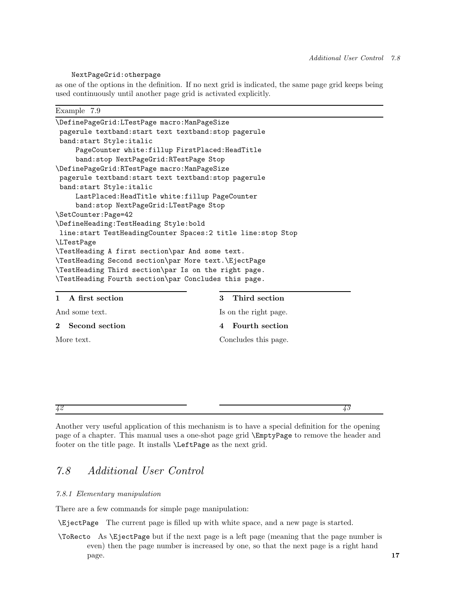#### NextPageGrid:otherpage

as one of the options in the definition. If no next grid is indicated, the same page grid keeps being used continuously until another page grid is activated explicitly.

Example 7.9

| \DefinePageGrid:LTestPage macro:ManPageSize                    |
|----------------------------------------------------------------|
| pagerule textband: start text textband: stop pagerule          |
| band: start Style: italic                                      |
| PageCounter white: fillup FirstPlaced: HeadTitle               |
| band: stop NextPageGrid: RTestPage Stop                        |
| \DefinePageGrid:RTestPage macro:ManPageSize                    |
| pagerule textband: start text textband: stop pagerule          |
| band:start Style:italic                                        |
| LastPlaced: HeadTitle white: fillup PageCounter                |
| band:stop NextPageGrid:LTestPage Stop                          |
| \SetCounter:Page=42                                            |
| \DefineHeading:TestHeading Style:bold                          |
| line: start TestHeadingCounter Spaces: 2 title line: stop Stop |
| LTestPage                                                      |
| \TestHeading A first section\par And some text.                |
| \TestHeading Second section\par More text.\EjectPage           |
| \TestHeading Third section\par Is on the right page.           |
| \TestHeading Fourth section\par Concludes this page.           |
| $1 \Delta$ $\theta$ and continue<br>$9$ Third cooffice         |

| 1 A first section | 3 Third section       |
|-------------------|-----------------------|
| And some text.    | Is on the right page. |
| 2 Second section  | 4 Fourth section      |
| More text.        | Concludes this page.  |

*43*

Another very useful application of this mechanism is to have a special definition for the opening page of a chapter. This manual uses a one-shot page grid \EmptyPage to remove the header and footer on the title page. It installs \LeftPage as the next grid.

## *7.8 Additional User Control*

#### *7.8.1 Elementary manipulation*

*42*

There are a few commands for simple page manipulation:

\EjectPage The current page is filled up with white space, and a new page is started.

\ToRecto As \EjectPage but if the next page is a left page (meaning that the page number is even) then the page number is increased by one, so that the next page is a right hand  $_{\rm page.}$  17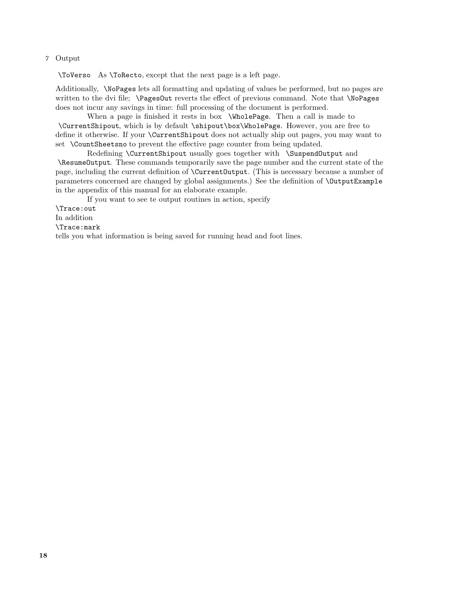#### 7 Output

\ToVerso As \ToRecto, except that the next page is a left page.

Additionally, \NoPages lets all formatting and updating of values be performed, but no pages are written to the dvi file; \Pages0ut reverts the effect of previous command. Note that \NoPages does not incur any savings in time: full processing of the document is performed.

When a page is finished it rests in box \WholePage. Then a call is made to \CurrentShipout, which is by default \shipout\box\WholePage. However, you are free to define it otherwise. If your \CurrentShipout does not actually ship out pages, you may want to set \CountSheetsno to prevent the effective page counter from being updated.

Redefining \CurrentShipout usually goes together with \SuspendOutput and \ResumeOutput. These commands temporarily save the page number and the current state of the page, including the current definition of \CurrentOutput. (This is necessary because a number of parameters concerned are changed by global assignments.) See the definition of \OutputExample in the appendix of this manual for an elaborate example.

If you want to see te output routines in action, specify

\Trace:out In addition \Trace:mark tells you what information is being saved for running head and foot lines.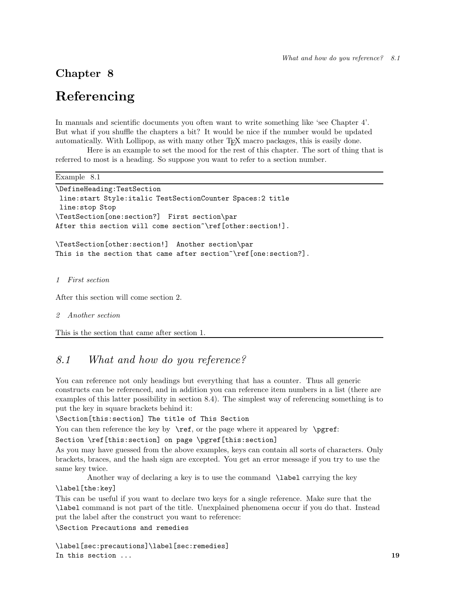## Chapter 8

## Referencing

In manuals and scientific documents you often want to write something like 'see Chapter 4'. But what if you shuffle the chapters a bit? It would be nice if the number would be updated automatically. With Lollipop, as with many other TEX macro packages, this is easily done.

Here is an example to set the mood for the rest of this chapter. The sort of thing that is referred to most is a heading. So suppose you want to refer to a section number.

Example 8.1

```
\DefineHeading:TestSection
line:start Style:italic TestSectionCounter Spaces:2 title
 line:stop Stop
\TestSection[one:section?] First section\par
After this section will come section~\ref[other:section!].
\TestSection[other:section!] Another section\par
This is the section that came after section~\ref[one:section?].
```
#### *1 First section*

After this section will come section 2.

```
2 Another section
```
This is the section that came after section 1.

## *8.1 What and how do you reference?*

You can reference not only headings but everything that has a counter. Thus all generic constructs can be referenced, and in addition you can reference item numbers in a list (there are examples of this latter possibility in section 8.4). The simplest way of referencing something is to put the key in square brackets behind it:

\Section[this:section] The title of This Section

You can then reference the key by  $\ref{$ , or the page where it appeared by  $\pe{p}$ .

Section \ref[this:section] on page \pgref[this:section]

As you may have guessed from the above examples, keys can contain all sorts of characters. Only brackets, braces, and the hash sign are excepted. You get an error message if you try to use the same key twice.

Another way of declaring a key is to use the command \label carrying the key

#### \label[the:key]

This can be useful if you want to declare two keys for a single reference. Make sure that the \label command is not part of the title. Unexplained phenomena occur if you do that. Instead put the label after the construct you want to reference:

\Section Precautions and remedies

\label[sec:precautions]\label[sec:remedies] In this section ... 19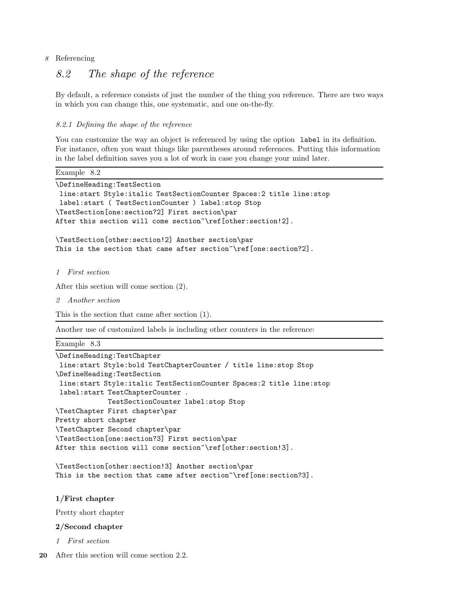#### 8 Referencing

## *8.2 The shape of the reference*

By default, a reference consists of just the number of the thing you reference. There are two ways in which you can change this, one systematic, and one on-the-fly.

#### *8.2.1 Defining the shape of the reference*

You can customize the way an object is referenced by using the option label in its definition. For instance, often you want things like parentheses around references. Putting this information in the label definition saves you a lot of work in case you change your mind later.

Example 8.2

```
\DefineHeading:TestSection
line:start Style:italic TestSectionCounter Spaces:2 title line:stop
label:start ( TestSectionCounter ) label:stop Stop
\TestSection[one:section?2] First section\par
After this section will come section~\ref[other:section!2].
```

```
\TestSection[other:section!2] Another section\par
This is the section that came after section~\ref[one:section?2].
```
*1 First section*

After this section will come section (2).

*2 Another section*

This is the section that came after section (1).

Another use of customized labels is including other counters in the reference:

Example 8.3

```
\DefineHeading:TestChapter
```

```
line:start Style:bold TestChapterCounter / title line:stop Stop
\DefineHeading:TestSection
line:start Style:italic TestSectionCounter Spaces:2 title line:stop
label:start TestChapterCounter .
             TestSectionCounter label:stop Stop
\TestChapter First chapter\par
Pretty short chapter
\TestChapter Second chapter\par
\TestSection[one:section?3] First section\par
After this section will come section~\ref[other:section!3].
```

```
\TestSection[other:section!3] Another section\par
This is the section that came after section~\ref[one:section?3].
```
1/First chapter

Pretty short chapter

2/Second chapter

- *1 First section*
- 20 After this section will come section 2.2.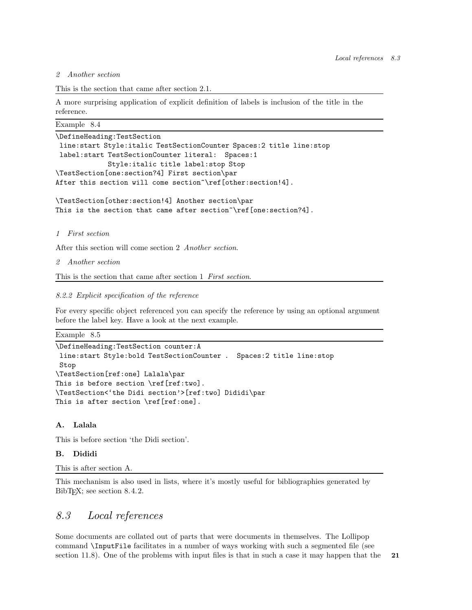#### *2 Another section*

```
This is the section that came after section 2.1.
```
A more surprising application of explicit definition of labels is inclusion of the title in the reference.

Example 8.4

```
\DefineHeading:TestSection
line:start Style:italic TestSectionCounter Spaces:2 title line:stop
label:start TestSectionCounter literal: Spaces:1
             Style:italic title label:stop Stop
\TestSection[one:section?4] First section\par
After this section will come section~\ref[other:section!4].
```
\TestSection[other:section!4] Another section\par This is the section that came after section~\ref[one:section?4].

*1 First section*

After this section will come section 2 *Another section*.

*2 Another section*

This is the section that came after section 1 *First section*.

#### *8.2.2 Explicit specification of the reference*

For every specific object referenced you can specify the reference by using an optional argument before the label key. Have a look at the next example.

Example 8.5

```
\DefineHeading:TestSection counter:A
line:start Style:bold TestSectionCounter . Spaces:2 title line:stop
Stop
\TestSection[ref:one] Lalala\par
This is before section \ref[ref:two].
\TestSection<'the Didi section'>[ref:two] Dididi\par
This is after section \ref[ref:one].
```
#### A. Lalala

This is before section 'the Didi section'.

#### B. Dididi

This is after section A.

This mechanism is also used in lists, where it's mostly useful for bibliographies generated by BibT<sub>E</sub>X; see section 8.4.2.

### *8.3 Local references*

Some documents are collated out of parts that were documents in themselves. The Lollipop command \InputFile facilitates in a number of ways working with such a segmented file (see section 11.8). One of the problems with input files is that in such a case it may happen that the  $21$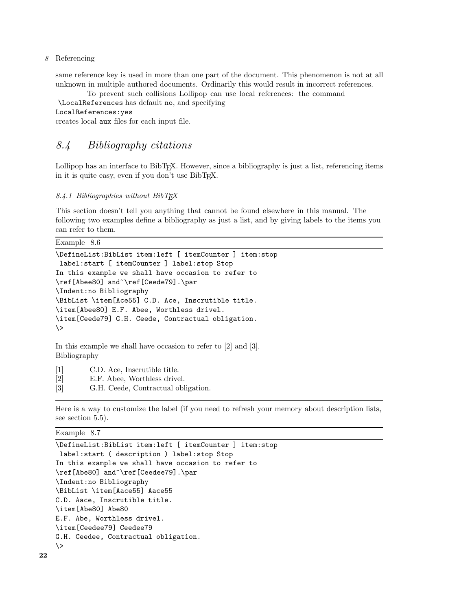8 Referencing

same reference key is used in more than one part of the document. This phenomenon is not at all unknown in multiple authored documents. Ordinarily this would result in incorrect references.

To prevent such collisions Lollipop can use local references: the command \LocalReferences has default no, and specifying

LocalReferences:yes

creates local aux files for each input file.

### *8.4 Bibliography citations*

Lollipop has an interface to BibT<sub>EX</sub>. However, since a bibliography is just a list, referencing items in it is quite easy, even if you don't use BibT<sub>E</sub>X.

*8.4.1 Bibliographies without BibTEX*

This section doesn't tell you anything that cannot be found elsewhere in this manual. The following two examples define a bibliography as just a list, and by giving labels to the items you can refer to them.

| Example | 8.6 |
|---------|-----|
|---------|-----|

```
\DefineList:BibList item:left [ itemCounter ] item:stop
label:start [ itemCounter ] label:stop Stop
In this example we shall have occasion to refer to
\ref[Abee80] and~\ref[Ceede79].\par
\Indent:no Bibliography
\BibList \item[Ace55] C.D. Ace, Inscrutible title.
\item[Abee80] E.F. Abee, Worthless drivel.
\item[Ceede79] G.H. Ceede, Contractual obligation.
\langle \rangle
```
In this example we shall have occasion to refer to [2] and [3]. Bibliography

- [1] C.D. Ace, Inscrutible title.
- [2] E.F. Abee, Worthless drivel.
- [3] G.H. Ceede, Contractual obligation.

Here is a way to customize the label (if you need to refresh your memory about description lists, see section 5.5).

Example 8.7

```
\DefineList:BibList item:left [ itemCounter ] item:stop
label:start ( description ) label:stop Stop
In this example we shall have occasion to refer to
\ref[Abe80] and~\ref[Ceedee79].\par
\Indent:no Bibliography
\BibList \item[Aace55] Aace55
C.D. Aace, Inscrutible title.
\item[Abe80] Abe80
E.F. Abe, Worthless drivel.
\item[Ceedee79] Ceedee79
G.H. Ceedee, Contractual obligation.
\>
```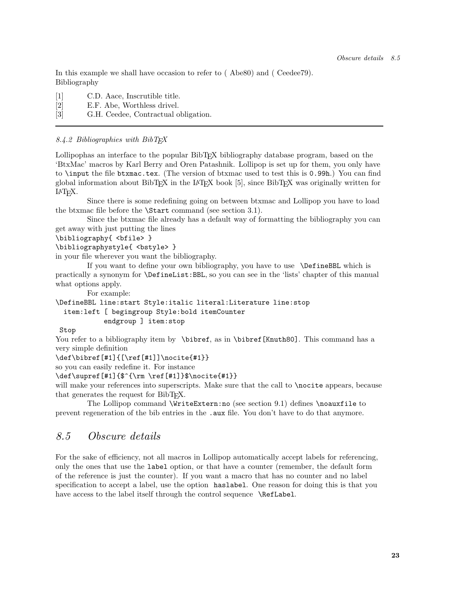In this example we shall have occasion to refer to ( Abe80) and ( Ceedee79). Bibliography

- [1] C.D. Aace, Inscrutible title.
- [2] E.F. Abe, Worthless drivel.
- [3] G.H. Ceedee, Contractual obligation.

#### *8.4.2 Bibliographies with BibTEX*

Lollipophas an interface to the popular BibTEX bibliography database program, based on the 'BtxMac' macros by Karl Berry and Oren Patashnik. Lollipop is set up for them, you only have to \input the file btxmac.tex. (The version of btxmac used to test this is 0.99h.) You can find global information about BibTEX in the L<sup>A</sup>TEX book [5], since BibTEX was originally written for L<sup>A</sup>TEX.

Since there is some redefining going on between btxmac and Lollipop you have to load the btxmac file before the \Start command (see section 3.1).

Since the btxmac file already has a default way of formatting the bibliography you can get away with just putting the lines

\bibliography{ <bfile> }

\bibliographystyle{ <bstyle> }

in your file wherever you want the bibliography.

If you want to define your own bibliography, you have to use \DefineBBL which is practically a synonym for \DefineList:BBL, so you can see in the 'lists' chapter of this manual what options apply.

For example:

\DefineBBL line:start Style:italic literal:Literature line:stop item:left [ begingroup Style:bold itemCounter endgroup ] item:stop

#### Stop

You refer to a bibliography item by \bibref, as in \bibref[Knuth80]. This command has a very simple definition

\def\bibref[#1]{[\ref[#1]]\nocite{#1}}

so you can easily redefine it. For instance

\def\supref[#1]{\$^{\rm \ref[#1]}\$\nocite{#1}}

will make your references into superscripts. Make sure that the call to **\nocite** appears, because that generates the request for BibT<sub>EX</sub>.

The Lollipop command \WriteExtern:no (see section 9.1) defines \noauxfile to prevent regeneration of the bib entries in the .aux file. You don't have to do that anymore.

## *8.5 Obscure details*

For the sake of efficiency, not all macros in Lollipop automatically accept labels for referencing, only the ones that use the label option, or that have a counter (remember, the default form of the reference is just the counter). If you want a macro that has no counter and no label specification to accept a label, use the option haslabel. One reason for doing this is that you have access to the label itself through the control sequence \RefLabel.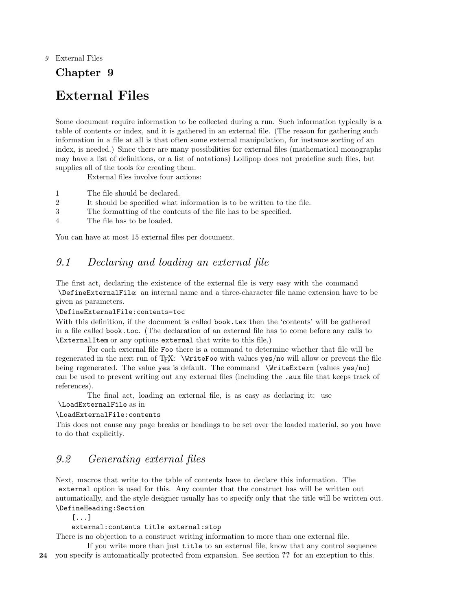#### 9 External Files

## Chapter 9

## External Files

Some document require information to be collected during a run. Such information typically is a table of contents or index, and it is gathered in an external file. (The reason for gathering such information in a file at all is that often some external manipulation, for instance sorting of an index, is needed.) Since there are many possibilities for external files (mathematical monographs may have a list of definitions, or a list of notations) Lollipop does not predefine such files, but supplies all of the tools for creating them.

External files involve four actions:

- 1 The file should be declared.
- 2 It should be specified what information is to be written to the file.
- 3 The formatting of the contents of the file has to be specified.
- 4 The file has to be loaded.

You can have at most 15 external files per document.

## *9.1 Declaring and loading an external file*

The first act, declaring the existence of the external file is very easy with the command \DefineExternalFile: an internal name and a three-character file name extension have to be given as parameters.

#### \DefineExternalFile:contents=toc

With this definition, if the document is called book.tex then the 'contents' will be gathered in a file called book.toc. (The declaration of an external file has to come before any calls to \ExternalItem or any options external that write to this file.)

For each external file Foo there is a command to determine whether that file will be regenerated in the next run of T<sub>EX</sub>: \WriteFoo with values yes/no will allow or prevent the file being regenerated. The value yes is default. The command \WriteExtern (values yes/no) can be used to prevent writing out any external files (including the .aux file that keeps track of references).

The final act, loading an external file, is as easy as declaring it: use \LoadExternalFile as in

#### \LoadExternalFile:contents

This does not cause any page breaks or headings to be set over the loaded material, so you have to do that explicitly.

## *9.2 Generating external files*

Next, macros that write to the table of contents have to declare this information. The external option is used for this. Any counter that the construct has will be written out automatically, and the style designer usually has to specify only that the title will be written out. \DefineHeading:Section

[...]

#### external:contents title external:stop

There is no objection to a construct writing information to more than one external file.

If you write more than just title to an external file, know that any control sequence

24 you specify is automatically protected from expansion. See section ?? for an exception to this.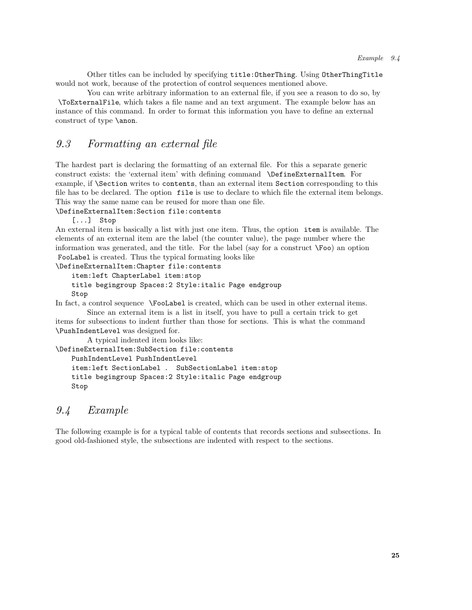Other titles can be included by specifying title:OtherThing. Using OtherThingTitle would not work, because of the protection of control sequences mentioned above.

You can write arbitrary information to an external file, if you see a reason to do so, by \ToExternalFile, which takes a file name and an text argument. The example below has an instance of this command. In order to format this information you have to define an external construct of type \anon.

## *9.3 Formatting an external file*

The hardest part is declaring the formatting of an external file. For this a separate generic construct exists: the 'external item' with defining command \DefineExternalItem. For example, if \Section writes to contents, than an external item Section corresponding to this file has to be declared. The option file is use to declare to which file the external item belongs. This way the same name can be reused for more than one file.

\DefineExternalItem:Section file:contents

[...] Stop

An external item is basically a list with just one item. Thus, the option item is available. The elements of an external item are the label (the counter value), the page number where the information was generated, and the title. For the label (say for a construct  $\Gamma$ oo) an option FooLabel is created. Thus the typical formating looks like

\DefineExternalItem:Chapter file:contents

```
item:left ChapterLabel item:stop
```

```
title begingroup Spaces:2 Style:italic Page endgroup
Stop
```
In fact, a control sequence \FooLabel is created, which can be used in other external items. Since an external item is a list in itself, you have to pull a certain trick to get

items for subsections to indent further than those for sections. This is what the command \PushIndentLevel was designed for.

A typical indented item looks like:

\DefineExternalItem:SubSection file:contents

PushIndentLevel PushIndentLevel

item:left SectionLabel . SubSectionLabel item:stop title begingroup Spaces:2 Style:italic Page endgroup Stop

### *9.4 Example*

The following example is for a typical table of contents that records sections and subsections. In good old-fashioned style, the subsections are indented with respect to the sections.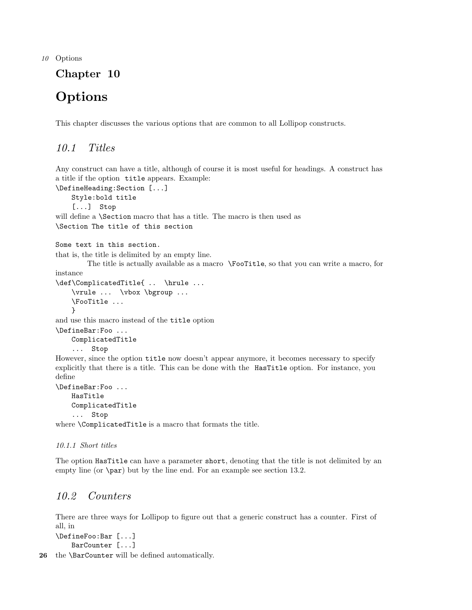10 Options

## Chapter 10

## **Options**

This chapter discusses the various options that are common to all Lollipop constructs.

## *10.1 Titles*

Any construct can have a title, although of course it is most useful for headings. A construct has a title if the option title appears. Example:

\DefineHeading:Section [...] Style:bold title [...] Stop will define a \Section macro that has a title. The macro is then used as \Section The title of this section

```
Some text in this section.
```
that is, the title is delimited by an empty line.

The title is actually available as a macro \FooTitle, so that you can write a macro, for instance

```
\def\ComplicatedTitle{ .. \hrule ...
    \vrule ... \vbox \bgroup ...
   \FooTitle ...
   }
```
and use this macro instead of the title option

```
\DefineBar:Foo ...
   ComplicatedTitle
    ... Stop
```
However, since the option title now doesn't appear anymore, it becomes necessary to specify explicitly that there is a title. This can be done with the HasTitle option. For instance, you define

```
\DefineBar:Foo ...
   HasTitle
   ComplicatedTitle
    ... Stop
```
where \ComplicatedTitle is a macro that formats the title.

#### *10.1.1 Short titles*

The option HasTitle can have a parameter short, denoting that the title is not delimited by an empty line (or \par) but by the line end. For an example see section 13.2.

## *10.2 Counters*

There are three ways for Lollipop to figure out that a generic construct has a counter. First of all, in

```
\DefineFoo:Bar [...]
    BarCounter [...]
```
26 the **\BarCounter** will be defined automatically.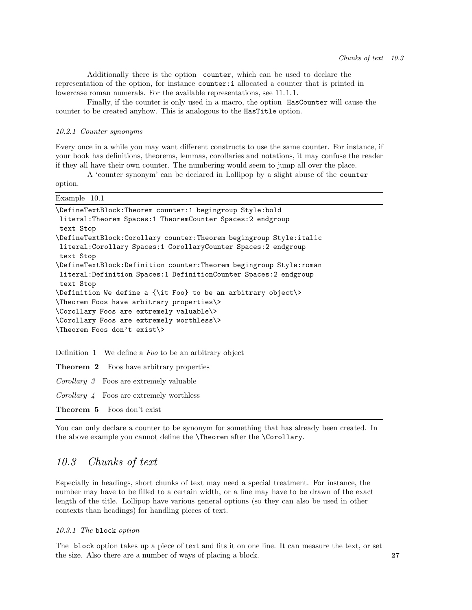Additionally there is the option counter, which can be used to declare the representation of the option, for instance counter:i allocated a counter that is printed in lowercase roman numerals. For the available representations, see 11.1.1.

Finally, if the counter is only used in a macro, the option HasCounter will cause the counter to be created anyhow. This is analogous to the HasTitle option.

#### *10.2.1 Counter synonyms*

Every once in a while you may want different constructs to use the same counter. For instance, if your book has definitions, theorems, lemmas, corollaries and notations, it may confuse the reader if they all have their own counter. The numbering would seem to jump all over the place.

A 'counter synonym' can be declared in Lollipop by a slight abuse of the counter option.

| Example 10.1                                                                     |
|----------------------------------------------------------------------------------|
| \DefineTextBlock:Theorem counter:1 begingroup Style:bold                         |
| literal: Theorem Spaces: 1 TheoremCounter Spaces: 2 endgroup<br>text Stop        |
| \DefineTextBlock:Corollary counter:Theorem begingroup Style:italic               |
| literal: Corollary Spaces: 1 Corollary Counter Spaces: 2 endgroup<br>text Stop   |
| \DefineTextBlock:Definition counter:Theorem begingroup Style:roman               |
| literal: Definition Spaces: 1 Definition Counter Spaces: 2 endgroup<br>text Stop |
| $\Delta \$ to be inition We define a {\it Foo} to be an arbitrary object\>       |
| \Theorem Foos have arbitrary properties\>                                        |
| \Corollary Foos are extremely valuable\>                                         |
| \Corollary Foos are extremely worthless\>                                        |
| \Theorem Foos don't exist\>                                                      |
|                                                                                  |
| Definition 1 We define a $Foo$ to be an arbitrary object                         |
| <b>Theorem 2</b> Foos have arbitrary properties                                  |
| <i>Corollary 3</i> Foos are extremely valuable                                   |
| <i>Corollary 4</i> Foos are extremely worthless                                  |

Theorem 5 Foos don't exist

You can only declare a counter to be synonym for something that has already been created. In the above example you cannot define the \Theorem after the \Corollary.

### *10.3 Chunks of text*

Especially in headings, short chunks of text may need a special treatment. For instance, the number may have to be filled to a certain width, or a line may have to be drawn of the exact length of the title. Lollipop have various general options (so they can also be used in other contexts than headings) for handling pieces of text.

*10.3.1 The* block *option*

The block option takes up a piece of text and fits it on one line. It can measure the text, or set the size. Also there are a number of ways of placing a block. 27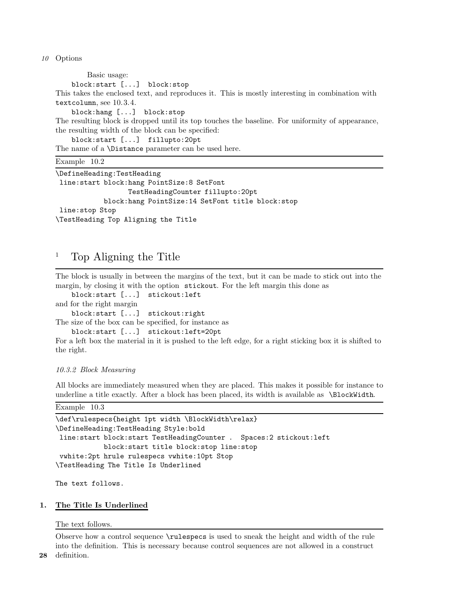10 Options

Basic usage: block:start [...] block:stop This takes the enclosed text, and reproduces it. This is mostly interesting in combination with textcolumn, see 10.3.4. block:hang [...] block:stop The resulting block is dropped until its top touches the baseline. For uniformity of appearance, the resulting width of the block can be specified: block:start [...] fillupto:20pt The name of a \Distance parameter can be used here. Example 10.2 \DefineHeading:TestHeading line:start block:hang PointSize:8 SetFont TestHeadingCounter fillupto:20pt

block:hang PointSize:14 SetFont title block:stop line:stop Stop \TestHeading Top Aligning the Title

## <sup>1</sup> Top Aligning the Title

The block is usually in between the margins of the text, but it can be made to stick out into the margin, by closing it with the option stickout. For the left margin this done as

- block:start [...] stickout:left
- and for the right margin

block:start [...] stickout:right

The size of the box can be specified, for instance as

```
block:start [...] stickout:left=20pt
```
For a left box the material in it is pushed to the left edge, for a right sticking box it is shifted to the right.

#### *10.3.2 Block Measuring*

All blocks are immediately measured when they are placed. This makes it possible for instance to underline a title exactly. After a block has been placed, its width is available as \BlockWidth.

```
Example 10.3
```

```
\def\rulespecs{height 1pt width \BlockWidth\relax}
\DefineHeading:TestHeading Style:bold
line:start block:start TestHeadingCounter . Spaces:2 stickout:left
            block:start title block:stop line:stop
 vwhite:2pt hrule rulespecs vwhite:10pt Stop
\TestHeading The Title Is Underlined
```
The text follows.

#### 1. The Title Is Underlined

The text follows.

Observe how a control sequence \rulespecs is used to sneak the height and width of the rule into the definition. This is necessary because control sequences are not allowed in a construct 28 definition.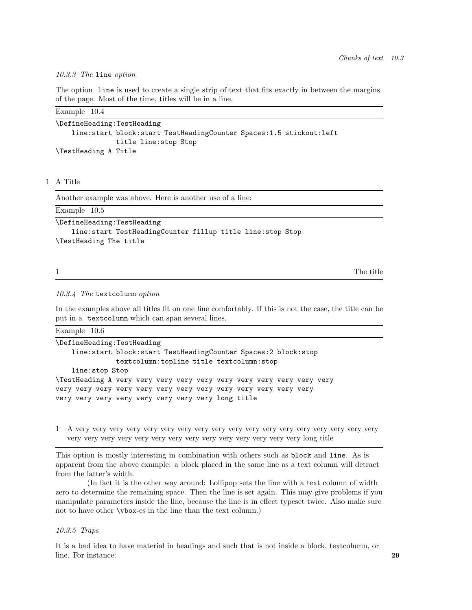#### *10.3.3 The* line *option*

The option line is used to create a single strip of text that fits exactly in between the margins of the page. Most of the time, titles will be in a line.

| Example 10.4                                                           |
|------------------------------------------------------------------------|
| \DefineHeading:TestHeading                                             |
| line: start block: start TestHeadingCounter Spaces: 1.5 stickout: left |
| title line: stop Stop                                                  |
| \TestHeading A Title                                                   |

#### 1 A Title

Another example was above. Here is another use of a line:

| Example $10.5$                                            |  |
|-----------------------------------------------------------|--|
| \DefineHeading:TestHeading                                |  |
| line:start TestHeadingCounter fillup title line:stop Stop |  |
| \TestHeading The title                                    |  |

1 The title contract of the title contract of the title contract of the title contract of the title contract of the title contract of the title contract of the title contract of the title contract of the title contract of

#### *10.3.4 The* textcolumn *option*

In the examples above all titles fit on one line comfortably. If this is not the case, the title can be put in a textcolumn which can span several lines.

Example 10.6

```
\DefineHeading:TestHeading
   line:start block:start TestHeadingCounter Spaces:2 block:stop
               textcolumn:topline title textcolumn:stop
   line:stop Stop
\TestHeading A very very very very very very very very very very very
very very very very very very very very very very very very very
very very very very very very very very long title
```
1 A very very very very very very very very very very very very very very very very very very very very very very very very very very very very very very very very long title

This option is mostly interesting in combination with others such as block and line. As is apparent from the above example: a block placed in the same line as a text column will detract from the latter's width.

(In fact it is the other way around: Lollipop sets the line with a text column of width zero to determine the remaining space. Then the line is set again. This may give problems if you manipulate parameters inside the line, because the line is in effect typeset twice. Also make sure not to have other \vbox-es in the line than the text column.)

#### *10.3.5 Traps*

It is a bad idea to have material in headings and such that is not inside a block, textcolumn, or line. For instance: 29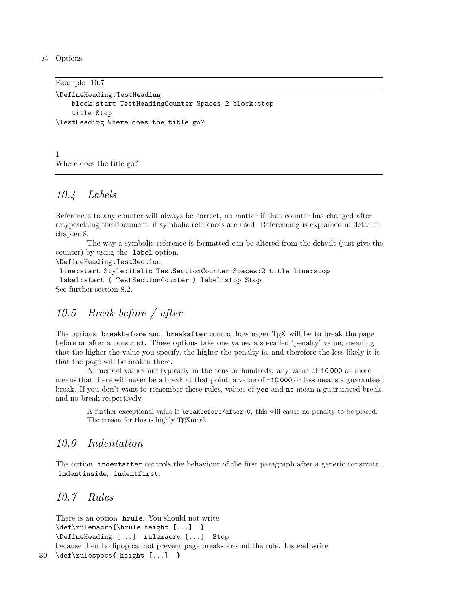10 Options

Example 10.7

```
\DefineHeading:TestHeading
   block:start TestHeadingCounter Spaces:2 block:stop
   title Stop
\TestHeading Where does the title go?
```
1 Where does the title go?

## *10.4 Labels*

References to any counter will always be correct, no matter if that counter has changed after retypesetting the document, if symbolic references are used. Referencing is explained in detail in chapter 8.

The way a symbolic reference is formatted can be altered from the default (just give the counter) by using the label option.

\DefineHeading:TestSection

```
line:start Style:italic TestSectionCounter Spaces:2 title line:stop
 label:start ( TestSectionCounter ) label:stop Stop
See further section 8.2.
```
## *10.5 Break before / after*

The options breakbefore and breakafter control how eager T<sub>E</sub>X will be to break the page before or after a construct. These options take one value, a so-called 'penalty' value, meaning that the higher the value you specify, the higher the penalty is, and therefore the less likely it is that the page will be broken there.

Numerical values are typically in the tens or hundreds; any value of 10 000 or more means that there will never be a break at that point; a value of -10 000 or less means a guaranteed break. If you don't want to remember these rules, values of yes and no mean a guaranteed break, and no break respectively.

A further exceptional value is breakbefore/after:0, this will cause no penalty to be placed. The reason for this is highly TEXnical.

### *10.6 Indentation*

The option indentafter controls the behaviour of the first paragraph after a generic construct., indentinside, indentfirst.

## *10.7 Rules*

There is an option hrule. You should not write \def\rulemacro{\hrule height [...] } \DefineHeading [...] rulemacro [...] Stop because then Lollipop cannot prevent page breaks around the rule. Instead write 30 \def\rulespecs{ height [...] }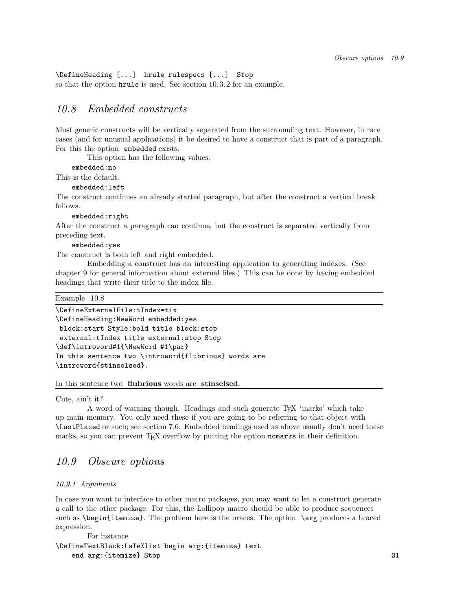\DefineHeading [...] hrule rulespecs [...] Stop so that the option hrule is used. See section 10.3.2 for an example.

### *10.8 Embedded constructs*

Most generic constructs will be vertically separated from the surrounding text. However, in rare cases (and for unusual applications) it be desired to have a construct that is part of a paragraph. For this the option embedded exists.

This option has the following values.

embedded:no

This is the default.

embedded:left

The construct continues an already started paragraph, but after the construct a vertical break follows.

embedded:right

After the construct a paragraph can continue, but the construct is separated vertically from preceding text.

embedded:yes

The construct is both left and right embedded.

Embedding a construct has an interesting application to generating indexes. (See chapter 9 for general information about external files.) This can be done by having embedded headings that write their title to the index file.

```
Example 10.8
```

```
\DefineExternalFile:tIndex=tix
\DefineHeading:NewWord embedded:yes
block:start Style:bold title block:stop
 external:tIndex title external:stop Stop
\def\introword#1{\NewWord #1\par}
In this sentence two \introword{flubrious} words are
\introword{stinselsed}.
```
#### In this sentence two flubrious words are stinselsed.

Cute, ain't it?

A word of warning though. Headings and such generate TEX 'marks' which take up main memory. You only need these if you are going to be referring to that object with \LastPlaced or such; see section 7.6. Embedded headings used as above usually don't need these marks, so you can prevent TEX overflow by putting the option nomarks in their definition.

### *10.9 Obscure options*

#### *10.9.1 Arguments*

In case you want to interface to other macro packages, you may want to let a construct generate a call to the other package. For this, the Lollipop macro should be able to produce sequences such as \begin{itemize}. The problem here is the braces. The option \arg produces a braced expression.

For instance \DefineTextBlock:LaTeXlist begin arg:{itemize} text end arg: {itemize} Stop 31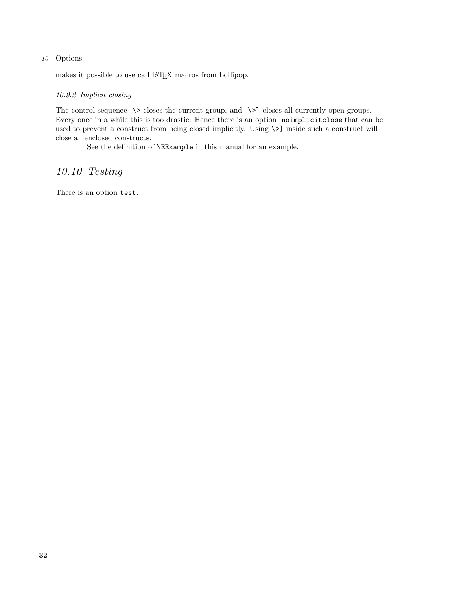#### 10 Options

makes it possible to use call L<sup>A</sup>TEX macros from Lollipop.

#### *10.9.2 Implicit closing*

The control sequence  $\>$  closes the current group, and  $\>$ ] closes all currently open groups. Every once in a while this is too drastic. Hence there is an option noimplicitclose that can be used to prevent a construct from being closed implicitly. Using  $\\$ ] inside such a construct will close all enclosed constructs.

See the definition of \EExample in this manual for an example.

## *10.10 Testing*

There is an option test.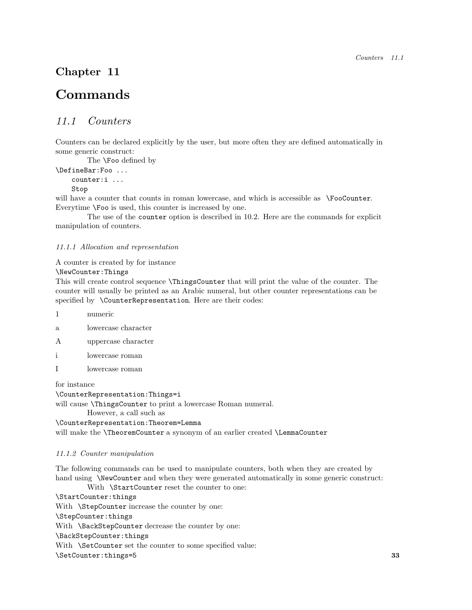## Chapter 11

## Commands

## *11.1 Counters*

Counters can be declared explicitly by the user, but more often they are defined automatically in some generic construct:

The \Foo defined by

\DefineBar:Foo ... counter:i ...

Stop

will have a counter that counts in roman lowercase, and which is accessible as \FooCounter. Everytime \Foo is used, this counter is increased by one.

The use of the counter option is described in 10.2. Here are the commands for explicit manipulation of counters.

#### *11.1.1 Allocation and representation*

A counter is created by for instance

\NewCounter:Things

This will create control sequence \ThingsCounter that will print the value of the counter. The counter will usually be printed as an Arabic numeral, but other counter representations can be specified by \CounterRepresentation. Here are their codes:

- 1 numeric
- a lowercase character
- A uppercase character
- i lowercase roman
- I lowercase roman

for instance

\CounterRepresentation:Things=i

will cause **\ThingsCounter** to print a lowercase Roman numeral.

However, a call such as

\CounterRepresentation:Theorem=Lemma will make the \TheoremCounter a synonym of an earlier created \LemmaCounter

#### *11.1.2 Counter manipulation*

The following commands can be used to manipulate counters, both when they are created by hand using \NewCounter and when they were generated automatically in some generic construct:

With **\StartCounter** reset the counter to one:

\StartCounter:things With **\StepCounter** increase the counter by one: \StepCounter:things With **\BackStepCounter** decrease the counter by one: \BackStepCounter:things With **\SetCounter** set the counter to some specified value: \SetCounter:things=5 33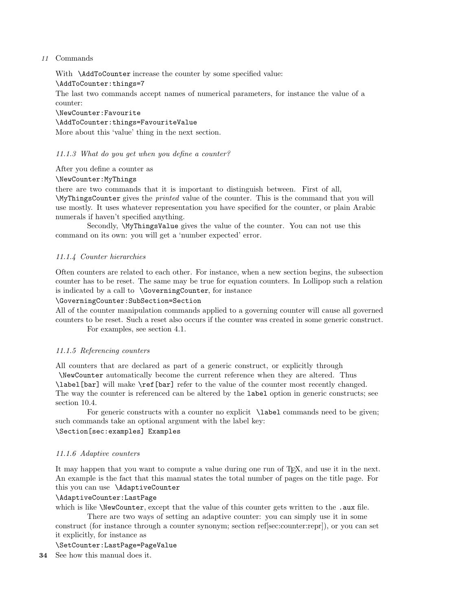#### 11 Commands

With \AddToCounter increase the counter by some specified value:

\AddToCounter:things=7

The last two commands accept names of numerical parameters, for instance the value of a counter:

\NewCounter:Favourite

\AddToCounter:things=FavouriteValue More about this 'value' thing in the next section.

#### *11.1.3 What do you get when you define a counter?*

After you define a counter as

\NewCounter:MyThings

there are two commands that it is important to distinguish between. First of all, \MyThingsCounter gives the *printed* value of the counter. This is the command that you will use mostly. It uses whatever representation you have specified for the counter, or plain Arabic numerals if haven't specified anything.

Secondly, \MyThingsValue gives the value of the counter. You can not use this command on its own: you will get a 'number expected' error.

#### *11.1.4 Counter hierarchies*

Often counters are related to each other. For instance, when a new section begins, the subsection counter has to be reset. The same may be true for equation counters. In Lollipop such a relation is indicated by a call to \GoverningCounter, for instance

#### \GoverningCounter:SubSection=Section

All of the counter manipulation commands applied to a governing counter will cause all governed counters to be reset. Such a reset also occurs if the counter was created in some generic construct. For examples, see section 4.1.

#### *11.1.5 Referencing counters*

All counters that are declared as part of a generic construct, or explicitly through

\NewCounter automatically become the current reference when they are altered. Thus \label[bar] will make \ref[bar] refer to the value of the counter most recently changed. The way the counter is referenced can be altered by the label option in generic constructs; see section 10.4.

For generic constructs with a counter no explicit **\label** commands need to be given; such commands take an optional argument with the label key:

\Section[sec:examples] Examples

#### *11.1.6 Adaptive counters*

It may happen that you want to compute a value during one run of TEX, and use it in the next. An example is the fact that this manual states the total number of pages on the title page. For this you can use \AdaptiveCounter

#### \AdaptiveCounter:LastPage

which is like \NewCounter, except that the value of this counter gets written to the .aux file.

There are two ways of setting an adaptive counter: you can simply use it in some construct (for instance through a counter synonym; section ref[sec:counter:repr]), or you can set it explicitly, for instance as

\SetCounter:LastPage=PageValue

34 See how this manual does it.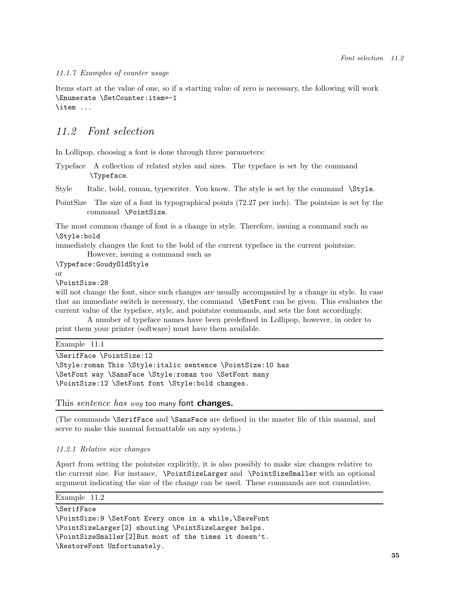#### *11.1.7 Examples of counter usage*

Items start at the value of one, so if a starting value of zero is necessary, the following will work \Enumerate \SetCounter:item=-1 \item ...

## *11.2 Font selection*

In Lollipop, choosing a font is done through three parameters:

Typeface A collection of related styles and sizes. The typeface is set by the command \Typeface.

Style Italic, bold, roman, typewriter. You know. The style is set by the command \Style.

PointSize The size of a font in typographical points (72.27 per inch). The pointsize is set by the command \PointSize.

The most common change of font is a change in style. Therefore, issuing a command such as \Style:bold

immediately changes the font to the bold of the current typeface in the current pointsize.

However, issuing a command such as

\Typeface:GoudyOldStyle

or

\PointSize:28

will not change the font, since such changes are usually accompanied by a change in style. In case that an immediate switch is necessary, the command \SetFont can be given. This evaluates the current value of the typeface, style, and pointsize commands, and sets the font accordingly.

A number of typeface names have been predefined in Lollipop, however, in order to print them your printer (software) must have them available.

Example 11.1

```
\SerifFace \PointSize:12
```

```
\Style:roman This \Style:italic sentence \PointSize:10 has
\SetFont way \SansFace \Style:roman too \SetFont many
\PointSize:12 \SetFont font \Style:bold changes.
```
This *sentence has way* too many font changes.

(The commands \SerifFace and \SansFace are defined in the master file of this manual, and serve to make this manual formattable on any system.)

#### *11.2.1 Relative size changes*

Apart from setting the pointsize explicitly, it is also possibly to make size changes relative to the current size. For instance, \PointSizeLarger and \PointSizeSmaller with an optional argument indicating the size of the change can be used. These commands are not cumulative.

```
Example 11.2
```

```
\SerifFace
\PointSize:9 \SetFont Every once in a while,\SaveFont
\PointSizeLarger[2] shouting \PointSizeLarger helps.
\PointSizeSmaller[2]But most of the times it doesn't.
\RestoreFont Unfortunately.
```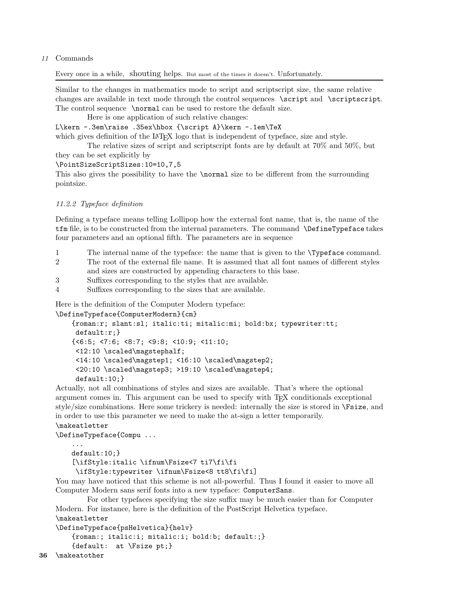#### 11 Commands

Every once in a while, shouting helps. But most of the times it doesn't. Unfortunately.

Similar to the changes in mathematics mode to script and scriptscript size, the same relative changes are available in text mode through the control sequences \script and \scriptscript. The control sequence \normal can be used to restore the default size.

Here is one application of such relative changes:

L\kern -.3em\raise .35ex\hbox {\script A}\kern -.1em\TeX

which gives definition of the L<sup>A</sup>TEX logo that is independent of typeface, size and style.

The relative sizes of script and scriptscript fonts are by default at 70% and 50%, but they can be set explicitly by

#### \PointSizeScriptSizes:10=10,7,5

This also gives the possibility to have the \normal size to be different from the surrounding pointsize.

#### *11.2.2 Typeface definition*

Defining a typeface means telling Lollipop how the external font name, that is, the name of the tfm file, is to be constructed from the internal parameters. The command \DefineTypeface takes four parameters and an optional fifth. The parameters are in sequence

- 1 The internal name of the typeface: the name that is given to the \Typeface command.
- 2 The root of the external file name. It is assumed that all font names of different styles and sizes are constructed by appending characters to this base.

3 Suffixes corresponding to the styles that are available.

4 Suffixes corresponding to the sizes that are available.

Here is the definition of the Computer Modern typeface:

\DefineTypeface{ComputerModern}{cm}

```
{roman:r; slant:sl; italic:ti; mitalic:mi; bold:bx; typewriter:tt;
 default:r;}
{<6:5; <7:6; <8:7; <9:8; <10:9; <11:10;
 <12:10 \scaled\magstephalf;
 <14:10 \scaled\magstep1; <16:10 \scaled\magstep2;
 <20:10 \scaled\magstep3; >19:10 \scaled\magstep4;
 default:10;}
```
Actually, not all combinations of styles and sizes are available. That's where the optional argument comes in. This argument can be used to specify with TEX conditionals exceptional style/size combinations. Here some trickery is needed: internally the size is stored in \Fsize, and in order to use this parameter we need to make the at-sign a letter temporarily.

#### \makeatletter

\DefineTypeface{Compu ...

```
...
default:10;}
[\ifStyle:italic \ifnum\Fsize<7 ti7\fi\fi
 \ifStyle:typewriter \ifnum\Fsize<8 tt8\fi\fi]
```
You may have noticed that this scheme is not all-powerful. Thus I found it easier to move all Computer Modern sans serif fonts into a new typeface: ComputerSans.

For other typefaces specifying the size suffix may be much easier than for Computer Modern. For instance, here is the definition of the PostScript Helvetica typeface.

```
\makeatletter
```

```
\DefineTypeface{psHelvetica}{helv}
    {roman:; italic:i; mitalic:i; bold:b; default:;}
    {default: at \Fsize pt;}
```

```
36 \makeatother
```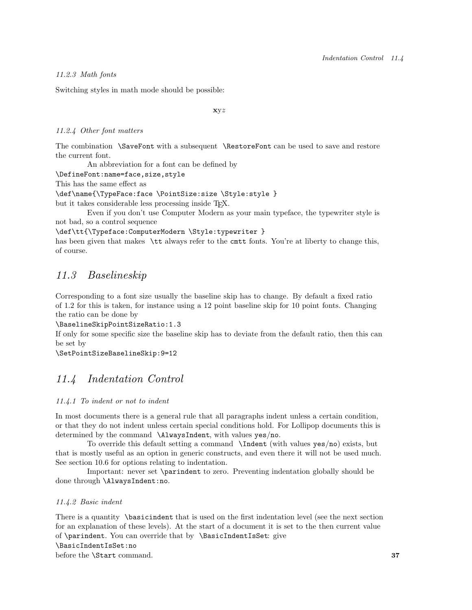#### *11.2.3 Math fonts*

Switching styles in math mode should be possible:

xyz

#### *11.2.4 Other font matters*

The combination \SaveFont with a subsequent \RestoreFont can be used to save and restore the current font.

An abbreviation for a font can be defined by

\DefineFont:name=face,size,style

This has the same effect as

```
\def\name{\TypeFace:face \PointSize:size \Style:style }
```
but it takes considerable less processing inside T<sub>E</sub>X.

Even if you don't use Computer Modern as your main typeface, the typewriter style is not bad, so a control sequence

\def\tt{\Typeface:ComputerModern \Style:typewriter }

has been given that makes \tt always refer to the cmtt fonts. You're at liberty to change this, of course.

## *11.3 Baselineskip*

Corresponding to a font size usually the baseline skip has to change. By default a fixed ratio of 1.2 for this is taken, for instance using a 12 point baseline skip for 10 point fonts. Changing the ratio can be done by

\BaselineSkipPointSizeRatio:1.3

If only for some specific size the baseline skip has to deviate from the default ratio, then this can be set by

\SetPointSizeBaselineSkip:9=12

## *11.4 Indentation Control*

#### *11.4.1 To indent or not to indent*

In most documents there is a general rule that all paragraphs indent unless a certain condition, or that they do not indent unless certain special conditions hold. For Lollipop documents this is determined by the command \AlwaysIndent, with values yes/no.

To override this default setting a command \Indent (with values yes/no) exists, but that is mostly useful as an option in generic constructs, and even there it will not be used much. See section 10.6 for options relating to indentation.

Important: never set \parindent to zero. Preventing indentation globally should be done through \AlwaysIndent:no.

#### *11.4.2 Basic indent*

There is a quantity \basicindent that is used on the first indentation level (see the next section for an explanation of these levels). At the start of a document it is set to the then current value of \parindent. You can override that by \BasicIndentIsSet: give \BasicIndentIsSet:no

before the **\Start** command. 37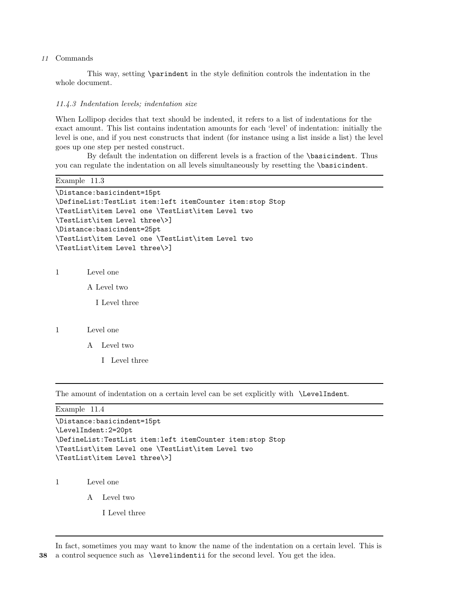#### 11 Commands

This way, setting \parindent in the style definition controls the indentation in the whole document.

#### *11.4.3 Indentation levels; indentation size*

When Lollipop decides that text should be indented, it refers to a list of indentations for the exact amount. This list contains indentation amounts for each 'level' of indentation: initially the level is one, and if you nest constructs that indent (for instance using a list inside a list) the level goes up one step per nested construct.

By default the indentation on different levels is a fraction of the \basicindent. Thus you can regulate the indentation on all levels simultaneously by resetting the \basicindent.

```
Example 11.3
```

```
\Distance:basicindent=15pt
\DefineList:TestList item:left itemCounter item:stop Stop
\TestList\item Level one \TestList\item Level two
\TestList\item Level three\>]
\Distance:basicindent=25pt
\TestList\item Level one \TestList\item Level two
\TestList\item Level three\>]
```
1 Level one

A Level two

I Level three

#### 1 Level one

- A Level two
	- I Level three

The amount of indentation on a certain level can be set explicitly with \LevelIndent.

Example 11.4

```
\Distance:basicindent=15pt
\LevelIndent:2=20pt
\DefineList:TestList item:left itemCounter item:stop Stop
\TestList\item Level one \TestList\item Level two
\TestList\item Level three\>]
```
1 Level one

A Level two

I Level three

In fact, sometimes you may want to know the name of the indentation on a certain level. This is 38 a control sequence such as \levelindentii for the second level. You get the idea.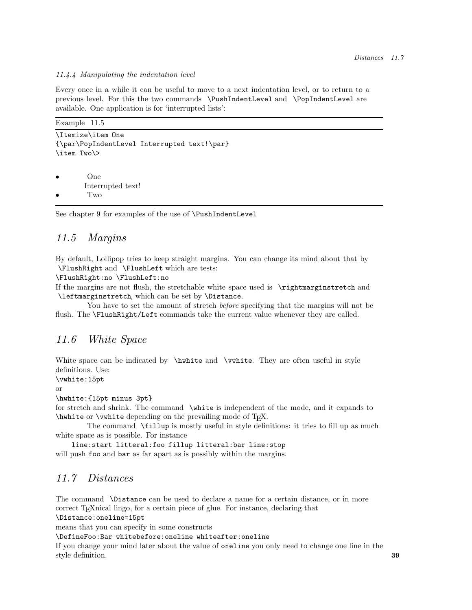#### *11.4.4 Manipulating the indentation level*

Every once in a while it can be useful to move to a next indentation level, or to return to a previous level. For this the two commands \PushIndentLevel and \PopIndentLevel are available. One application is for 'interrupted lists':

| Example 11.5                                                     |
|------------------------------------------------------------------|
| \Itemize\item One<br>{\par\PopIndentLevel Interrupted text!\par} |
| \item Two\>                                                      |
| O <sub>ne</sub><br>$\bullet$                                     |
| Interrupted text!<br>Two<br>$\bullet$                            |
| See chapter 9 for examples of the use of <b>\PushIndentLevel</b> |

### *11.5 Margins*

By default, Lollipop tries to keep straight margins. You can change its mind about that by \FlushRight and \FlushLeft which are tests:

\FlushRight:no \FlushLeft:no

If the margins are not flush, the stretchable white space used is \rightmarginstretch and \leftmarginstretch, which can be set by \Distance.

You have to set the amount of stretch *before* specifying that the margins will not be flush. The \FlushRight/Left commands take the current value whenever they are called.

### *11.6 White Space*

White space can be indicated by \hwhite and \vwhite. They are often useful in style definitions. Use:

\vwhite:15pt

or

\hwhite:{15pt minus 3pt}

for stretch and shrink. The command \white is independent of the mode, and it expands to \hwhite or \vwhite depending on the prevailing mode of TEX.

The command \fillup is mostly useful in style definitions: it tries to fill up as much white space as is possible. For instance

line:start litteral:foo fillup litteral:bar line:stop will push foo and bar as far apart as is possibly within the margins.

## *11.7 Distances*

The command \Distance can be used to declare a name for a certain distance, or in more correct T<sub>E</sub>Xnical lingo, for a certain piece of glue. For instance, declaring that

\Distance:oneline=15pt

means that you can specify in some constructs

\DefineFoo:Bar whitebefore:oneline whiteafter:oneline

If you change your mind later about the value of oneline you only need to change one line in the style definition. **39**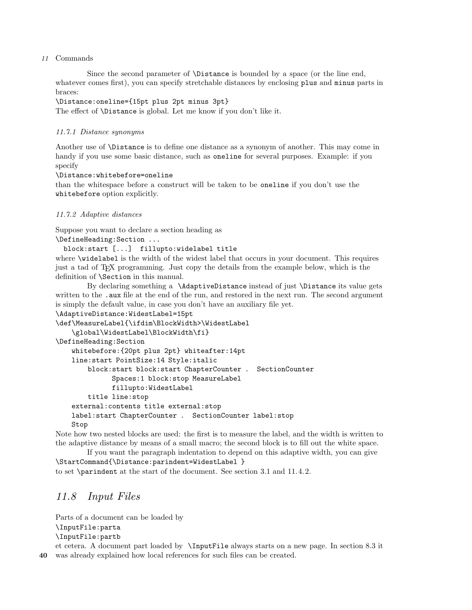#### 11 Commands

Since the second parameter of \Distance is bounded by a space (or the line end, whatever comes first), you can specify stretchable distances by enclosing plus and minus parts in braces:

#### \Distance:oneline={15pt plus 2pt minus 3pt}

The effect of \Distance is global. Let me know if you don't like it.

#### *11.7.1 Distance synonyms*

Another use of \Distance is to define one distance as a synonym of another. This may come in handy if you use some basic distance, such as oneline for several purposes. Example: if you specify

#### \Distance:whitebefore=oneline

than the whitespace before a construct will be taken to be oneline if you don't use the whitebefore option explicitly.

#### *11.7.2 Adaptive distances*

Suppose you want to declare a section heading as

```
\DefineHeading:Section ...
```

```
block:start [...] fillupto:widelabel title
```
where \widelabel is the width of the widest label that occurs in your document. This requires just a tad of TEX programming. Just copy the details from the example below, which is the definition of \Section in this manual.

By declaring something a \AdaptiveDistance instead of just \Distance its value gets written to the . aux file at the end of the run, and restored in the next run. The second argument is simply the default value, in case you don't have an auxiliary file yet.

```
\AdaptiveDistance:WidestLabel=15pt
```

```
\def\MeasureLabel{\ifdim\BlockWidth>\WidestLabel
    \global\WidestLabel\BlockWidth\fi}
\DefineHeading:Section
   whitebefore:{20pt plus 2pt} whiteafter:14pt
   line:start PointSize:14 Style:italic
       block:start block:start ChapterCounter . SectionCounter
              Spaces:1 block:stop MeasureLabel
             fillupto:WidestLabel
       title line:stop
   external:contents title external:stop
   label:start ChapterCounter . SectionCounter label:stop
   Stop
```
Note how two nested blocks are used: the first is to measure the label, and the width is written to the adaptive distance by means of a small macro; the second block is to fill out the white space.

If you want the paragraph indentation to depend on this adaptive width, you can give \StartCommand{\Distance:parindent=WidestLabel }

to set \parindent at the start of the document. See section 3.1 and 11.4.2.

## *11.8 Input Files*

Parts of a document can be loaded by \InputFile:parta \InputFile:partb

et cetera. A document part loaded by \InputFile always starts on a new page. In section 8.3 it 40 was already explained how local references for such files can be created.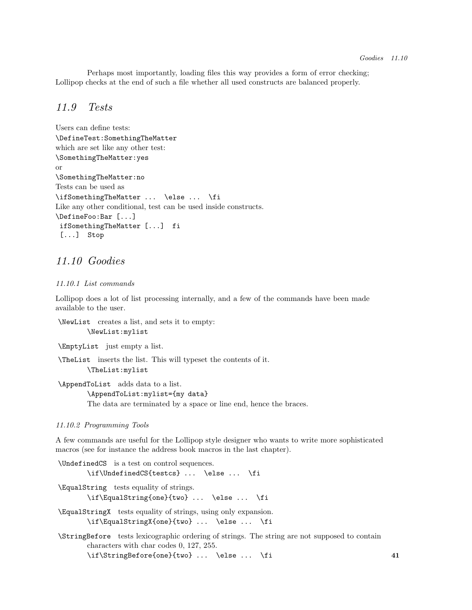Perhaps most importantly, loading files this way provides a form of error checking; Lollipop checks at the end of such a file whether all used constructs are balanced properly.

### *11.9 Tests*

```
Users can define tests:
\DefineTest:SomethingTheMatter
which are set like any other test:
\SomethingTheMatter:yes
or
\SomethingTheMatter:no
Tests can be used as
\ifSomethingTheMatter ... \else ... \fi
Like any other conditional, test can be used inside constructs.
\DefineFoo:Bar [...]
 ifSomethingTheMatter [...] fi
 [...] Stop
```
## *11.10 Goodies*

#### *11.10.1 List commands*

Lollipop does a lot of list processing internally, and a few of the commands have been made available to the user.

```
\NewList creates a list, and sets it to empty:
        \NewList:mylist
```
\EmptyList just empty a list.

\TheList inserts the list. This will typeset the contents of it. \TheList:mylist

\AppendToList adds data to a list. \AppendToList:mylist={my data} The data are terminated by a space or line end, hence the braces.

#### *11.10.2 Programming Tools*

A few commands are useful for the Lollipop style designer who wants to write more sophisticated macros (see for instance the address book macros in the last chapter).

\UndefinedCS is a test on control sequences. \if\UndefinedCS{testcs} ... \else ... \fi \EqualString tests equality of strings. \if\EqualString{one}{two} ... \else ... \fi \EqualStringX tests equality of strings, using only expansion. \if\EqualStringX{one}{two} ... \else ... \fi \StringBefore tests lexicographic ordering of strings. The string are not supposed to contain characters with char codes 0, 127, 255. \if\StringBefore{one}{two} ... \else ... \fi 41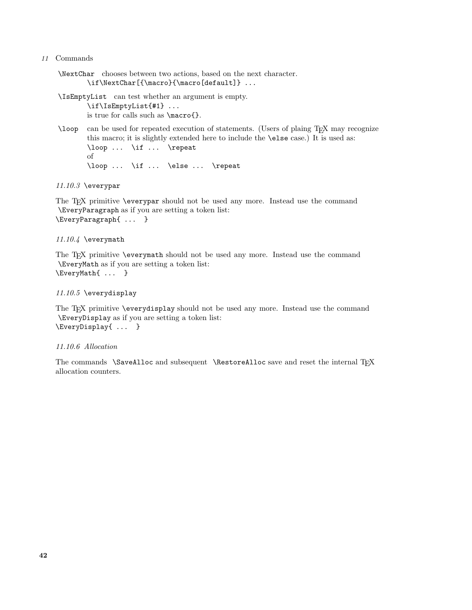#### 11 Commands

\NextChar chooses between two actions, based on the next character. \if\NextChar[{\macro}{\macro[default]} ...

\IsEmptyList can test whether an argument is empty.

\if\IsEmptyList{#1} ... is true for calls such as \macro{}.

\loop can be used for repeated execution of statements. (Users of plaing TEX may recognize this macro; it is slightly extended here to include the \else case.) It is used as: \loop ... \if ... \repeat of \loop ... \if ... \else ... \repeat

*11.10.3* \everypar

The T<sub>EX</sub> primitive \everypar should not be used any more. Instead use the command \EveryParagraph as if you are setting a token list: \EveryParagraph{ ... }

#### *11.10.4* \everymath

The T<sub>EX</sub> primitive \everymath should not be used any more. Instead use the command \EveryMath as if you are setting a token list: \EveryMath{ ... }

#### *11.10.5* \everydisplay

The T<sub>EX</sub> primitive \everydisplay should not be used any more. Instead use the command \EveryDisplay as if you are setting a token list: \EveryDisplay{ ... }

#### *11.10.6 Allocation*

The commands \SaveAlloc and subsequent \RestoreAlloc save and reset the internal TFX allocation counters.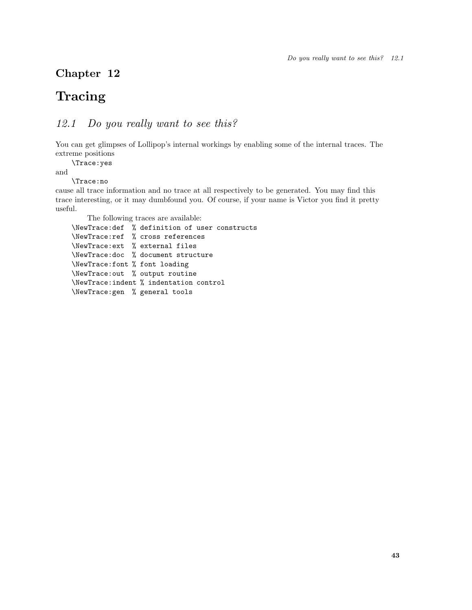## Chapter 12

## **Tracing**

## *12.1 Do you really want to see this?*

You can get glimpses of Lollipop's internal workings by enabling some of the internal traces. The extreme positions

\Trace:yes

and

\Trace:no

cause all trace information and no trace at all respectively to be generated. You may find this trace interesting, or it may dumbfound you. Of course, if your name is Victor you find it pretty useful.

The following traces are available:

```
\NewTrace:def % definition of user constructs
\NewTrace:ref % cross references
\NewTrace:ext % external files
\NewTrace:doc % document structure
\NewTrace:font % font loading
\NewTrace:out % output routine
\NewTrace:indent % indentation control
\NewTrace:gen % general tools
```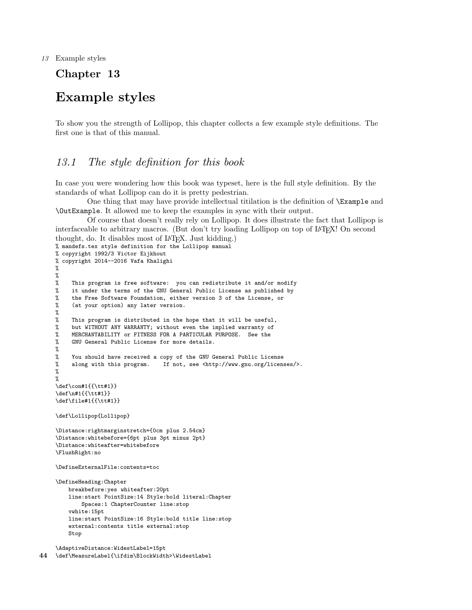13 Example styles

## Chapter 13

## Example styles

To show you the strength of Lollipop, this chapter collects a few example style definitions. The first one is that of this manual.

## *13.1 The style definition for this book*

In case you were wondering how this book was typeset, here is the full style definition. By the standards of what Lollipop can do it is pretty pedestrian.

One thing that may have provide intellectual titilation is the definition of \Example and \OutExample. It allowed me to keep the examples in sync with their output.

```
Of course that doesn't really rely on Lollipop. It does illustrate the fact that Lollipop is
interfaceable to arbitrary macros. (But don't try loading Lollipop on top of IATEX! On second
thought, do. It disables most of LATEX. Just kidding.)
% mandefs.tex style definition for the Lollipop manual
% copyright 1992/3 Victor Eijkhout
% copyright 2014--2016 Vafa Khalighi
%
%<br>%
    This program is free software: you can redistribute it and/or modify
% it under the terms of the GNU General Public License as published by
% the Free Software Foundation, either version 3 of the License, or
% (at your option) any later version.
%
% This program is distributed in the hope that it will be useful,
% but WITHOUT ANY WARRANTY; without even the implied warranty of
% MERCHANTABILITY or FITNESS FOR A PARTICULAR PURPOSE. See the
% GNU General Public License for more details.
%
% You should have received a copy of the GNU General Public License
% along with this program. If not, see <http://www.gnu.org/licenses/>.
%
%
\def\con#1{{\tt#1}}
\def\n#1{{\tt#1}}
\def\file#1{{\tt#1}}
\def\Lollipop{Lollipop}
\Distance:rightmarginstretch={0cm plus 2.54cm}
\Distance:whitebefore={6pt plus 3pt minus 2pt}
\Distance:whiteafter=whitebefore
\FlushRight:no
\DefineExternalFile:contents=toc
\DefineHeading:Chapter
    breakbefore:yes whiteafter:20pt
    line:start PointSize:14 Style:bold literal:Chapter
       Spaces:1 ChapterCounter line:stop
    vwhite:15pt
    line:start PointSize:16 Style:bold title line:stop
    external:contents title external:stop
    Stop
```
\AdaptiveDistance:WidestLabel=15pt 44 \def\MeasureLabel{\ifdim\BlockWidth>\WidestLabel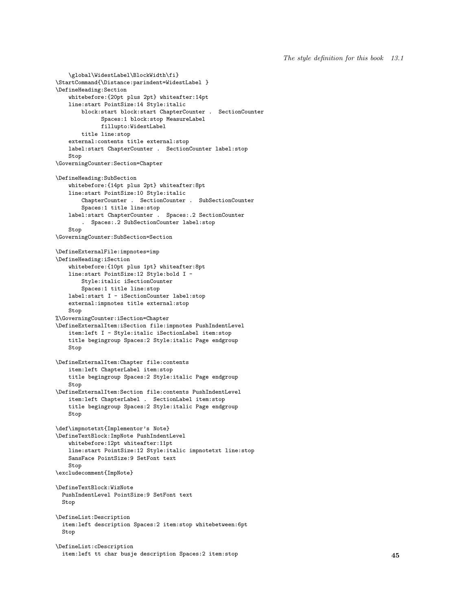```
\StartCommand{\Distance:parindent=WidestLabel }
\DefineHeading:Section
   whitebefore:{20pt plus 2pt} whiteafter:14pt
   line:start PointSize:14 Style:italic
       block:start block:start ChapterCounter . SectionCounter
             Spaces:1 block:stop MeasureLabel
             fillupto:WidestLabel
       title line:stop
   external:contents title external:stop
   label:start ChapterCounter . SectionCounter label:stop
   Stop
\GoverningCounter:Section=Chapter
\DefineHeading:SubSection
   whitebefore:{14pt plus 2pt} whiteafter:8pt
   line:start PointSize:10 Style:italic
       ChapterCounter . SectionCounter . SubSectionCounter
       Spaces:1 title line:stop
   label:start ChapterCounter . Spaces:.2 SectionCounter
       . Spaces:.2 SubSectionCounter label:stop
   Stop
\GoverningCounter:SubSection=Section
\DefineExternalFile:impnotes=imp
\DefineHeading:iSection
   whitebefore:{10pt plus 1pt} whiteafter:8pt
   line:start PointSize:12 Style:bold I -
       Style:italic iSectionCounter
       Spaces:1 title line:stop
   label:start I - iSectionCounter label:stop
   external:impnotes title external:stop
   Stop
%\GoverningCounter:iSection=Chapter
\DefineExternalItem:iSection file:impnotes PushIndentLevel
   item:left I - Style:italic iSectionLabel item:stop
   title begingroup Spaces:2 Style:italic Page endgroup
   Stop
\DefineExternalItem:Chapter file:contents
   item:left ChapterLabel item:stop
   title begingroup Spaces:2 Style:italic Page endgroup
   Stop
\DefineExternalItem:Section file:contents PushIndentLevel
   item:left ChapterLabel . SectionLabel item:stop
   title begingroup Spaces:2 Style:italic Page endgroup
   Stop
\def\impnotetxt{Implementor's Note}
\DefineTextBlock:ImpNote PushIndentLevel
   whitebefore:12pt whiteafter:11pt
   line:start PointSize:12 Style:italic impnotetxt line:stop
   SansFace PointSize:9 SetFont text
   Stop
\excludecomment{ImpNote}
\DefineTextBlock:WizNote
 PushIndentLevel PointSize:9 SetFont text
 Stop
\DefineList:Description
  item:left description Spaces:2 item:stop whitebetween:6pt
 Stop
\DefineList:cDescription
 item:left tt char busje description Spaces:2 item:stop 45
```
\global\WidestLabel\BlockWidth\fi}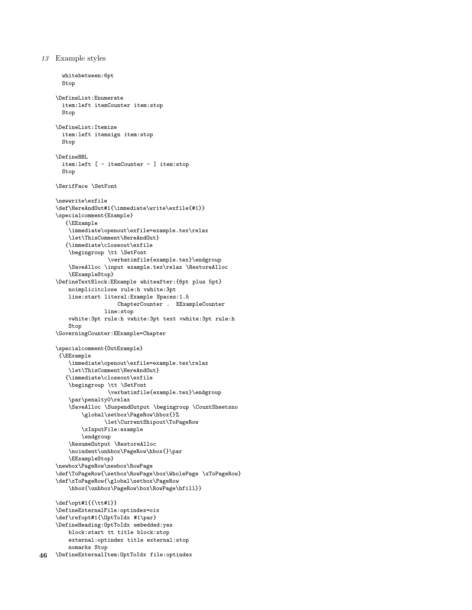```
13 Example styles
```

```
whitebetween:6pt
  Stop
\DefineList:Enumerate
  item:left itemCounter item:stop
  Stop
\DefineList:Itemize
  item:left itemsign item:stop
  Stop
\DefineBBL
  item:left [ - itemCounter - ] item:stop
  Stop
\SerifFace \SetFont
\newwrite\exfile
\def\HereAndOut#1{\immediate\write\exfile{#1}}
\specialcomment{Example}
   {\EExample
    \immediate\openout\exfile=example.tex\relax
    \let\ThisComment\HereAndOut}
   {\immediate\closeout\exfile
    \begingroup \tt \SetFont
                \verbatimfile{example.tex}\endgroup
    \SaveAlloc \input example.tex\relax \RestoreAlloc
    \EExampleStop}
\DefineTextBlock:EExample whiteafter:{6pt plus 5pt}
   noimplicitclose rule:h vwhite:3pt
    line:start literal:Example Spaces:1.5
                   ChapterCounter . EExampleCounter
               line:stop
    vwhite:3pt rule:h vwhite:3pt text vwhite:3pt rule:h
    Stop
\GoverningCounter:EExample=Chapter
\specialcomment{OutExample}
{\EExample
    \immediate\openout\exfile=example.tex\relax
    \let\ThisComment\HereAndOut}
   {\immediate\closeout\exfile
    \begingroup \tt \SetFont
                \verbatimfile{example.tex}\endgroup
    \par\penalty0\relax
    \SaveAlloc \SuspendOutput \begingroup \CountSheetsno
        \global\setbox\PageRow\hbox{}%
               \let\CurrentShipout\ToPageRow
        \xInputFile:example
        \endgroup
    \ResumeOutput \RestoreAlloc
    \noindent\unhbox\PageRow\hbox{}\par
    \EExampleStop}
\newbox\PageRow\newbox\RowPage
\def\ToPageRow{\setbox\RowPage\box\WholePage \xToPageRow}
\def\xToPageRow{\global\setbox\PageRow
    \hbox{\unhbox\PageRow\box\RowPage\hfill}}
\label{thm:main} $$\def\op{\#1}{\ttt#1}}\DefineExternalFile:optindex=oix
\def\refopt#1{\OptToIdx #1\par}
\DefineHeading:OptToIdx embedded:yes
    block:start tt title block:stop
    external:optindex title external:stop
   nomarks Stop
```

```
46 \DefineExternalItem:OptToIdx file:optindex
```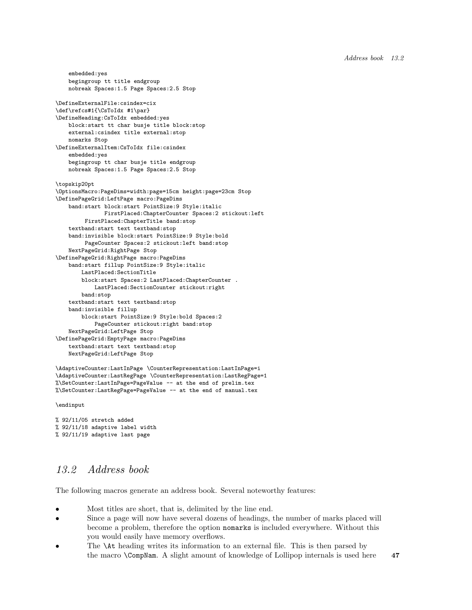```
embedded:yes
   begingroup tt title endgroup
   nobreak Spaces:1.5 Page Spaces:2.5 Stop
\DefineExternalFile:csindex=cix
\def\refcs#1{\CsToIdx #1\par}
\DefineHeading:CsToIdx embedded:yes
   block:start tt char busje title block:stop
   external:csindex title external:stop
   nomarks Stop
\DefineExternalItem:CsToIdx file:csindex
   embedded:yes
   begingroup tt char busje title endgroup
   nobreak Spaces:1.5 Page Spaces:2.5 Stop
\topskip20pt
\OptionsMacro:PageDims=width:page=15cm height:page=23cm Stop
\DefinePageGrid:LeftPage macro:PageDims
   band:start block:start PointSize:9 Style:italic
              FirstPlaced:ChapterCounter Spaces:2 stickout:left
        FirstPlaced:ChapterTitle band:stop
   textband:start text textband:stop
   band:invisible block:start PointSize:9 Style:bold
        PageCounter Spaces:2 stickout:left band:stop
   NextPageGrid:RightPage Stop
\DefinePageGrid:RightPage macro:PageDims
   band:start fillup PointSize:9 Style:italic
        LastPlaced:SectionTitle
        block:start Spaces:2 LastPlaced:ChapterCounter .
           LastPlaced:SectionCounter stickout:right
       band:stop
   textband:start text textband:stop
   band:invisible fillup
       block:start PointSize:9 Style:bold Spaces:2
           PageCounter stickout:right band:stop
   NextPageGrid:LeftPage Stop
\DefinePageGrid:EmptyPage macro:PageDims
   textband:start text textband:stop
   NextPageGrid:LeftPage Stop
```

```
\AdaptiveCounter:LastInPage \CounterRepresentation:LastInPage=i
\AdaptiveCounter:LastRegPage \CounterRepresentation:LastRegPage=1
%\SetCounter:LastInPage=PageValue -- at the end of prelim.tex
%\SetCounter:LastRegPage=PageValue -- at the end of manual.tex
```
\endinput

```
% 92/11/05 stretch added
% 92/11/18 adaptive label width
% 92/11/19 adaptive last page
```
## *13.2 Address book*

The following macros generate an address book. Several noteworthy features:

- Most titles are short, that is, delimited by the line end.
- Since a page will now have several dozens of headings, the number of marks placed will become a problem, therefore the option nomarks is included everywhere. Without this you would easily have memory overflows.
- The  $\lambda t$  heading writes its information to an external file. This is then parsed by the macro **\CompNam.** A slight amount of knowledge of Lollipop internals is used here 47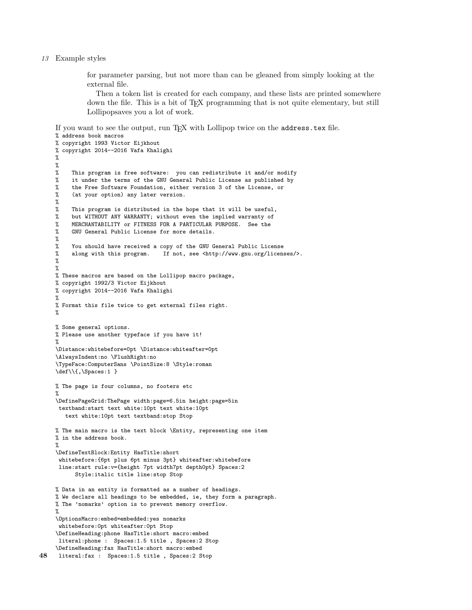#### 13 Example styles

for parameter parsing, but not more than can be gleaned from simply looking at the external file.

Then a token list is created for each company, and these lists are printed somewhere down the file. This is a bit of TEX programming that is not quite elementary, but still Lollipopsaves you a lot of work.

If you want to see the output, run T<sub>EX</sub> with Lollipop twice on the address.tex file.

```
% address book macros
    % copyright 1993 Victor Eijkhout
    % copyright 2014--2016 Vafa Khalighi
     %
    \frac{2}{3}This program is free software: you can redistribute it and/or modify
    % it under the terms of the GNU General Public License as published by
    % the Free Software Foundation, either version 3 of the License, or
    % (at your option) any later version.
    %
    % This program is distributed in the hope that it will be useful,
    % but WITHOUT ANY WARRANTY; without even the implied warranty of
    % MERCHANTABILITY or FITNESS FOR A PARTICULAR PURPOSE. See the
    % GNU General Public License for more details.
    %
    % You should have received a copy of the GNU General Public License
         along with this program. If not, see <http://www.gnu.org/licenses/>.
    %
    %
    % These macros are based on the Lollipop macro package,
    % copyright 1992/3 Victor Eijkhout
    % copyright 2014--2016 Vafa Khalighi
    %
    % Format this file twice to get external files right.
     %
    % Some general options.
    % Please use another typeface if you have it!
    %
    \Distance:whitebefore=0pt \Distance:whiteafter=0pt
    \AlwaysIndent:no \FlushRight:no
    \TypeFace:ComputerSans \PointSize:8 \Style:roman
    \def\\{,\Spaces:1 }
    % The page is four columns, no footers etc
     %
    \DefinePageGrid:ThePage width:page=6.5in height:page=5in
     textband:start text white:10pt text white:10pt
       text white:10pt text textband:stop Stop
    % The main macro is the text block \Entity, representing one item
    % in the address book.
    %
    \DefineTextBlock:Entity HasTitle:short
     whitebefore:{6pt plus 6pt minus 3pt} whiteafter:whitebefore
     line:start rule:v={height 7pt width7pt depth0pt} Spaces:2
          Style:italic title line:stop Stop
    % Data in an entity is formatted as a number of headings.
    % We declare all headings to be embedded, ie, they form a paragraph.
    % The 'nomarks' option is to prevent memory overflow.
    %
    \OptionsMacro:embed=embedded:yes nomarks
     whitebefore:0pt whiteafter:0pt Stop
    \DefineHeading:phone HasTitle:short macro:embed
     literal:phone : Spaces:1.5 title , Spaces:2 Stop
    \DefineHeading:fax HasTitle:short macro:embed
48 literal:fax : Spaces:1.5 title , Spaces:2 Stop
```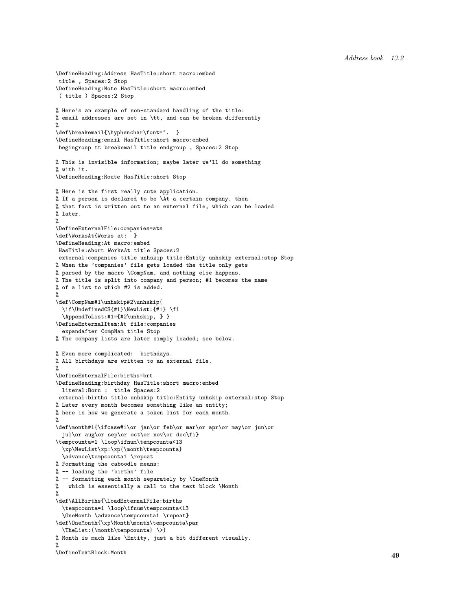```
\DefineHeading:Address HasTitle:short macro:embed
title , Spaces:2 Stop
\DefineHeading:Note HasTitle:short macro:embed
( title ) Spaces:2 Stop
% Here's an example of non-standard handling of the title:
% email addresses are set in \tt, and can be broken differently
%
\def\breakemail{\hyphenchar\font='. }
\DefineHeading:email HasTitle:short macro:embed
begingroup tt breakemail title endgroup , Spaces:2 Stop
% This is invisible information; maybe later we'll do something
% with it.
\DefineHeading:Route HasTitle:short Stop
% Here is the first really cute application.
% If a person is declared to be \At a certain company, then
% that fact is written out to an external file, which can be loaded
% later.
%
\DefineExternalFile:companies=ats
\def\WorksAt{Works at: }
\DefineHeading:At macro:embed
HasTitle:short WorksAt title Spaces:2
external:companies title unhskip title:Entity unhskip external:stop Stop
% When the 'companies' file gets loaded the title only gets
% parsed by the macro \CompNam, and nothing else happens.
% The title is split into company and person; #1 becomes the name
% of a list to which #2 is added.
%
\def\CompNam#1\unhskip#2\unhskip{
 \if\UndefinedCS{#1}\NewList:{#1} \fi
  \AppendToList:#1={#2\unhskip, } }
\DefineExternalItem:At file:companies
 expandafter CompNam title Stop
% The company lists are later simply loaded; see below.
% Even more complicated: birthdays.
% All birthdays are written to an external file.
%
\DefineExternalFile:births=brt
\DefineHeading:birthday HasTitle:short macro:embed
 literal:Born : title Spaces:2
external:births title unhskip title:Entity unhskip external:stop Stop
% Later every month becomes something like an entity;
% here is how we generate a token list for each month.
%
\def\month#1{\ifcase#1\or jan\or feb\or mar\or apr\or may\or jun\or
  jul\or aug\or sep\or oct\or nov\or dec\fi}
\tempcounta=1 \loop\ifnum\tempcounta<13
  \xp\NewList\xp:\xp{\month\tempcounta}
 \advance\tempcounta1 \repeat
% Formatting the caboodle means:
% -- loading the 'births' file
% -- formatting each month separately by \OneMonth
% which is essentially a call to the text block \Month
%
\def\AllBirths{\LoadExternalFile:births
  \tempcounta=1 \loop\ifnum\tempcounta<13
  \OneMonth \advance\tempcounta1 \repeat}
\def\OneMonth{\xp\Month\month\tempcounta\par
  \label{thm:main} $$ \The List: {\month\tempcounta} \>>\% Month is much like \Entity, just a bit different visually.
%
\DefineTextBlock:Month 49
```